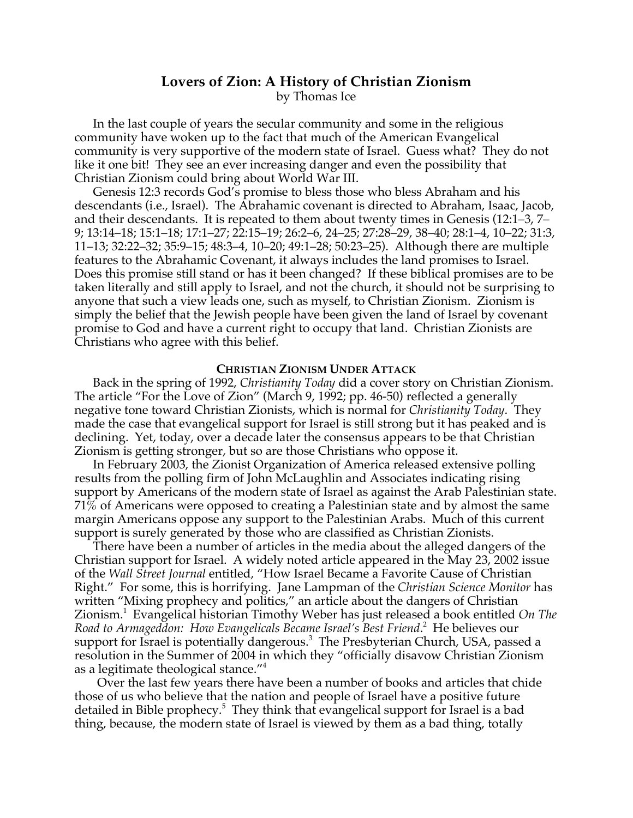# **Lovers of Zion: A History of Christian Zionism**

by Thomas Ice

In the last couple of years the secular community and some in the religious community have woken up to the fact that much of the American Evangelical community is very supportive of the modern state of Israel. Guess what? They do not like it one bit! They see an ever increasing danger and even the possibility that Christian Zionism could bring about World War III.

Genesis 12:3 records God's promise to bless those who bless Abraham and his descendants (i.e., Israel). The Abrahamic covenant is directed to Abraham, Isaac, Jacob, and their descendants. It is repeated to them about twenty times in Genesis (12:1–3, 7– 9; 13:14–18; 15:1–18; 17:1–27; 22:15–19; 26:2–6, 24–25; 27:28–29, 38–40; 28:1–4, 10–22; 31:3, 11–13; 32:22–32; 35:9–15; 48:3–4, 10–20; 49:1–28; 50:23–25). Although there are multiple features to the Abrahamic Covenant, it always includes the land promises to Israel. Does this promise still stand or has it been changed? If these biblical promises are to be taken literally and still apply to Israel, and not the church, it should not be surprising to anyone that such a view leads one, such as myself, to Christian Zionism. Zionism is simply the belief that the Jewish people have been given the land of Israel by covenant promise to God and have a current right to occupy that land. Christian Zionists are Christians who agree with this belief.

### **CHRISTIAN ZIONISM UNDER ATTACK**

Back in the spring of 1992, *Christianity Today* did a cover story on Christian Zionism. The article "For the Love of Zion" (March 9, 1992; pp. 46-50) reflected a generally negative tone toward Christian Zionists, which is normal for *Christianity Today*. They made the case that evangelical support for Israel is still strong but it has peaked and is declining. Yet, today, over a decade later the consensus appears to be that Christian Zionism is getting stronger, but so are those Christians who oppose it.

In February 2003, the Zionist Organization of America released extensive polling results from the polling firm of John McLaughlin and Associates indicating rising support by Americans of the modern state of Israel as against the Arab Palestinian state. 71% of Americans were opposed to creating a Palestinian state and by almost the same margin Americans oppose any support to the Palestinian Arabs. Much of this current support is surely generated by those who are classified as Christian Zionists.

There have been a number of articles in the media about the alleged dangers of the Christian support for Israel. A widely noted article appeared in the May 23, 2002 issue of the *Wall Street Journal* entitled, "How Israel Became a Favorite Cause of Christian Right." For some, this is horrifying. Jane Lampman of the *Christian Science Monitor* has written "Mixing prophecy and politics," an article about the dangers of Christian Zionism.<sup>1</sup> Evangelical historian Timothy Weber has just released a book entitled *On The Road to Armageddon: How Evangelicals Became Israel's Best Friend*. 2 He believes our support for Israel is potentially dangerous.<sup>3</sup> The Presbyterian Church, USA, passed a resolution in the Summer of 2004 in which they "officially disavow Christian Zionism as a legitimate theological stance."4

Over the last few years there have been a number of books and articles that chide those of us who believe that the nation and people of Israel have a positive future detailed in Bible prophecy.<sup>5</sup> They think that evangelical support for Israel is a bad thing, because, the modern state of Israel is viewed by them as a bad thing, totally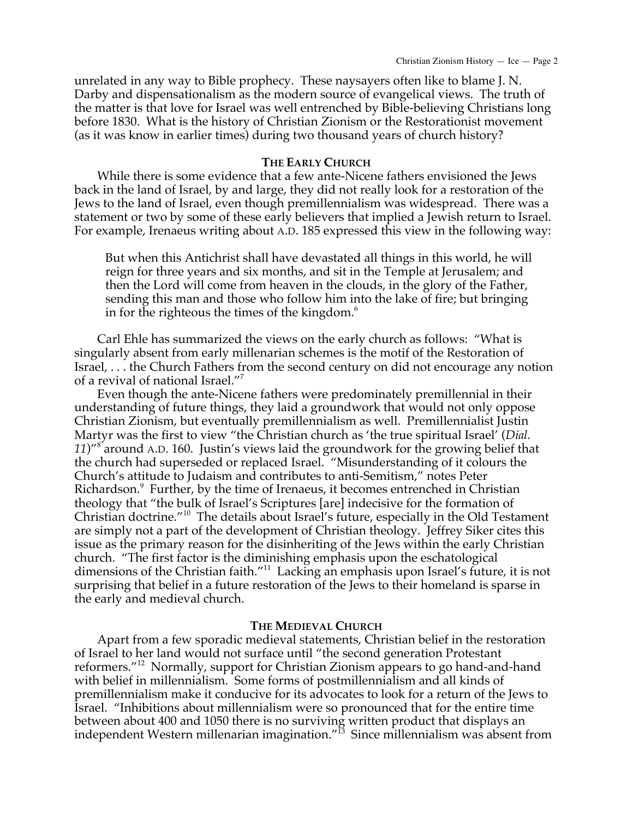unrelated in any way to Bible prophecy. These naysayers often like to blame J. N. Darby and dispensationalism as the modern source of evangelical views. The truth of the matter is that love for Israel was well entrenched by Bible-believing Christians long before 1830. What is the history of Christian Zionism or the Restorationist movement (as it was know in earlier times) during two thousand years of church history?

#### **THE EARLY CHURCH**

While there is some evidence that a few ante-Nicene fathers envisioned the Jews back in the land of Israel, by and large, they did not really look for a restoration of the Jews to the land of Israel, even though premillennialism was widespread. There was a statement or two by some of these early believers that implied a Jewish return to Israel. For example, Irenaeus writing about A.D. 185 expressed this view in the following way:

But when this Antichrist shall have devastated all things in this world, he will reign for three years and six months, and sit in the Temple at Jerusalem; and then the Lord will come from heaven in the clouds, in the glory of the Father, sending this man and those who follow him into the lake of fire; but bringing in for the righteous the times of the kingdom. $6$ 

Carl Ehle has summarized the views on the early church as follows: "What is singularly absent from early millenarian schemes is the motif of the Restoration of Israel, . . . the Church Fathers from the second century on did not encourage any notion of a revival of national Israel."7

Even though the ante-Nicene fathers were predominately premillennial in their understanding of future things, they laid a groundwork that would not only oppose Christian Zionism, but eventually premillennialism as well. Premillennialist Justin Martyr was the first to view "the Christian church as 'the true spiritual Israel' (*Dial. 11*)"<sup>8</sup> around A.D. 160. Justin's views laid the groundwork for the growing belief that the church had superseded or replaced Israel. "Misunderstanding of it colours the Church's attitude to Judaism and contributes to anti-Semitism," notes Peter Richardson.<sup>9</sup> Further, by the time of Irenaeus, it becomes entrenched in Christian theology that "the bulk of Israel's Scriptures [are] indecisive for the formation of Christian doctrine."10 The details about Israel's future, especially in the Old Testament are simply not a part of the development of Christian theology. Jeffrey Siker cites this issue as the primary reason for the disinheriting of the Jews within the early Christian church. "The first factor is the diminishing emphasis upon the eschatological dimensions of the Christian faith."11 Lacking an emphasis upon Israel's future, it is not surprising that belief in a future restoration of the Jews to their homeland is sparse in the early and medieval church.

### **THE MEDIEVAL CHURCH**

Apart from a few sporadic medieval statements, Christian belief in the restoration of Israel to her land would not surface until "the second generation Protestant reformers."12 Normally, support for Christian Zionism appears to go hand-and-hand with belief in millennialism. Some forms of postmillennialism and all kinds of premillennialism make it conducive for its advocates to look for a return of the Jews to Israel. "Inhibitions about millennialism were so pronounced that for the entire time between about 400 and 1050 there is no surviving written product that displays an independent Western millenarian imagination."<sup>13</sup> Since millennialism was absent from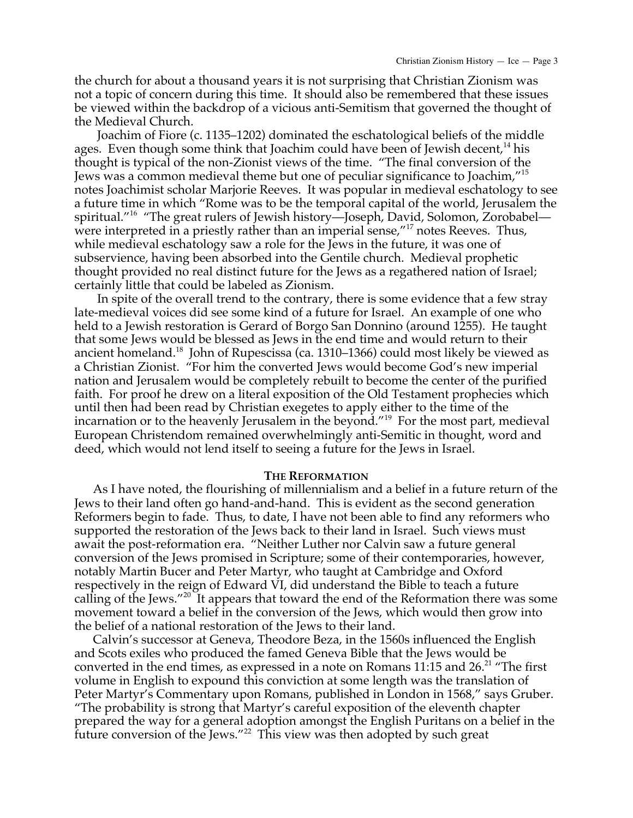the church for about a thousand years it is not surprising that Christian Zionism was not a topic of concern during this time. It should also be remembered that these issues be viewed within the backdrop of a vicious anti-Semitism that governed the thought of the Medieval Church.

Joachim of Fiore (c. 1135–1202) dominated the eschatological beliefs of the middle ages. Even though some think that Joachim could have been of Jewish decent,<sup>14</sup> his thought is typical of the non-Zionist views of the time. "The final conversion of the Jews was a common medieval theme but one of peculiar significance to Joachim,"15 notes Joachimist scholar Marjorie Reeves. It was popular in medieval eschatology to see a future time in which "Rome was to be the temporal capital of the world, Jerusalem the spiritual."16 "The great rulers of Jewish history—Joseph, David, Solomon, Zorobabel were interpreted in a priestly rather than an imperial sense,"<sup>17</sup> notes Reeves. Thus, while medieval eschatology saw a role for the Jews in the future, it was one of subservience, having been absorbed into the Gentile church. Medieval prophetic thought provided no real distinct future for the Jews as a regathered nation of Israel; certainly little that could be labeled as Zionism.

In spite of the overall trend to the contrary, there is some evidence that a few stray late-medieval voices did see some kind of a future for Israel. An example of one who held to a Jewish restoration is Gerard of Borgo San Donnino (around 1255). He taught that some Jews would be blessed as Jews in the end time and would return to their ancient homeland.18 John of Rupescissa (ca. 1310–1366) could most likely be viewed as a Christian Zionist. "For him the converted Jews would become God's new imperial nation and Jerusalem would be completely rebuilt to become the center of the purified faith. For proof he drew on a literal exposition of the Old Testament prophecies which until then had been read by Christian exegetes to apply either to the time of the incarnation or to the heavenly Jerusalem in the beyond."<sup>19</sup> For the most part, medieval European Christendom remained overwhelmingly anti-Semitic in thought, word and deed, which would not lend itself to seeing a future for the Jews in Israel.

#### **THE REFORMATION**

As I have noted, the flourishing of millennialism and a belief in a future return of the Jews to their land often go hand-and-hand. This is evident as the second generation Reformers begin to fade. Thus, to date, I have not been able to find any reformers who supported the restoration of the Jews back to their land in Israel. Such views must await the post-reformation era. "Neither Luther nor Calvin saw a future general conversion of the Jews promised in Scripture; some of their contemporaries, however, notably Martin Bucer and Peter Martyr, who taught at Cambridge and Oxford respectively in the reign of Edward VI, did understand the Bible to teach a future calling of the Jews."<sup>20</sup> It appears that toward the end of the Reformation there was some movement toward a belief in the conversion of the Jews, which would then grow into the belief of a national restoration of the Jews to their land.

Calvin's successor at Geneva, Theodore Beza, in the 1560s influenced the English and Scots exiles who produced the famed Geneva Bible that the Jews would be converted in the end times, as expressed in a note on Romans  $11:15$  and  $26.21$  "The first volume in English to expound this conviction at some length was the translation of Peter Martyr's Commentary upon Romans, published in London in 1568," says Gruber. "The probability is strong that Martyr's careful exposition of the eleventh chapter prepared the way for a general adoption amongst the English Puritans on a belief in the future conversion of the Jews." $^{22}$  This view was then adopted by such great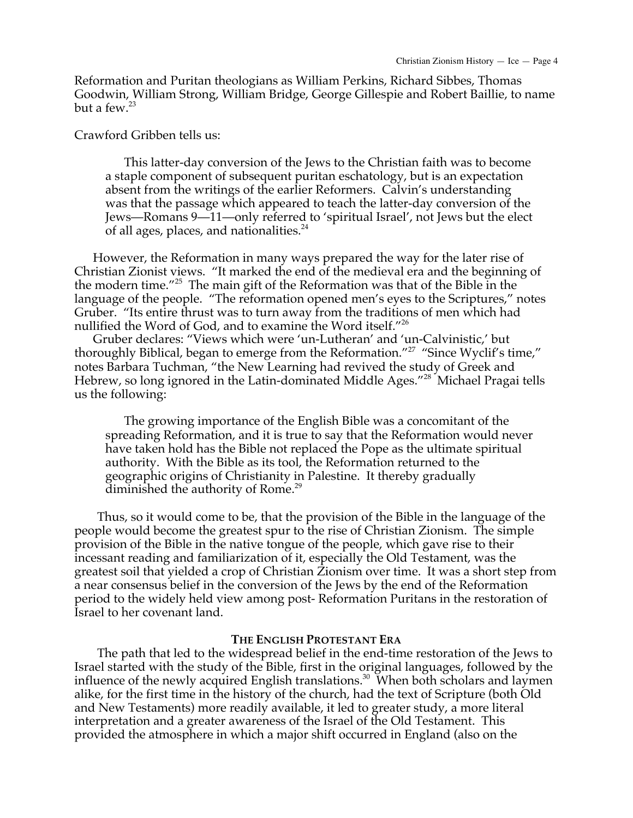Reformation and Puritan theologians as William Perkins, Richard Sibbes, Thomas Goodwin, William Strong, William Bridge, George Gillespie and Robert Baillie, to name but a few. $23$ 

Crawford Gribben tells us:

This latter-day conversion of the Jews to the Christian faith was to become a staple component of subsequent puritan eschatology, but is an expectation absent from the writings of the earlier Reformers. Calvin's understanding was that the passage which appeared to teach the latter-day conversion of the Jews—Romans 9—11—only referred to 'spiritual Israel', not Jews but the elect of all ages, places, and nationalities.<sup>24</sup>

However, the Reformation in many ways prepared the way for the later rise of Christian Zionist views. "It marked the end of the medieval era and the beginning of the modern time."25 The main gift of the Reformation was that of the Bible in the language of the people. "The reformation opened men's eyes to the Scriptures," notes Gruber. "Its entire thrust was to turn away from the traditions of men which had nullified the Word of God, and to examine the Word itself."26

Gruber declares: "Views which were 'un-Lutheran' and 'un-Calvinistic,' but thoroughly Biblical, began to emerge from the Reformation."<sup>27</sup> "Since Wyclif's time," notes Barbara Tuchman, "the New Learning had revived the study of Greek and Hebrew, so long ignored in the Latin-dominated Middle Ages."<sup>28</sup> Michael Pragai tells us the following:

The growing importance of the English Bible was a concomitant of the spreading Reformation, and it is true to say that the Reformation would never have taken hold has the Bible not replaced the Pope as the ultimate spiritual authority. With the Bible as its tool, the Reformation returned to the geographic origins of Christianity in Palestine. It thereby gradually diminished the authority of Rome.<sup>29</sup>

Thus, so it would come to be, that the provision of the Bible in the language of the people would become the greatest spur to the rise of Christian Zionism. The simple provision of the Bible in the native tongue of the people, which gave rise to their incessant reading and familiarization of it, especially the Old Testament, was the greatest soil that yielded a crop of Christian Zionism over time. It was a short step from a near consensus belief in the conversion of the Jews by the end of the Reformation period to the widely held view among post- Reformation Puritans in the restoration of Israel to her covenant land.

### **THE ENGLISH PROTESTANT ERA**

The path that led to the widespread belief in the end-time restoration of the Jews to Israel started with the study of the Bible, first in the original languages, followed by the influence of the newly acquired English translations.<sup>30</sup> When both scholars and laymen alike, for the first time in the history of the church, had the text of Scripture (both Old and New Testaments) more readily available, it led to greater study, a more literal interpretation and a greater awareness of the Israel of the Old Testament. This provided the atmosphere in which a major shift occurred in England (also on the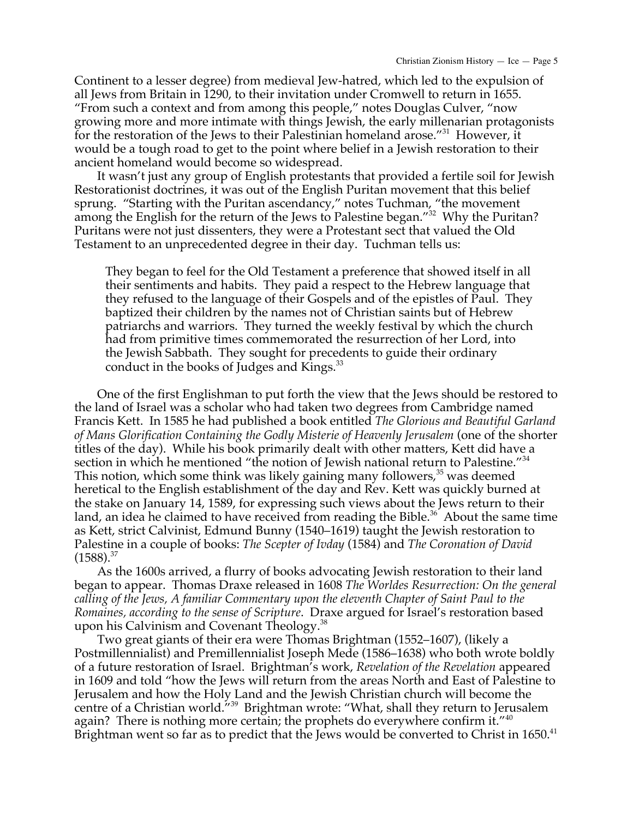Continent to a lesser degree) from medieval Jew-hatred, which led to the expulsion of all Jews from Britain in 1290, to their invitation under Cromwell to return in 1655. "From such a context and from among this people," notes Douglas Culver, "now growing more and more intimate with things Jewish, the early millenarian protagonists for the restoration of the Jews to their Palestinian homeland arose."31 However, it would be a tough road to get to the point where belief in a Jewish restoration to their ancient homeland would become so widespread.

It wasn't just any group of English protestants that provided a fertile soil for Jewish Restorationist doctrines, it was out of the English Puritan movement that this belief sprung. "Starting with the Puritan ascendancy," notes Tuchman, "the movement among the English for the return of the Jews to Palestine began."<sup>32</sup> Why the Puritan? Puritans were not just dissenters, they were a Protestant sect that valued the Old Testament to an unprecedented degree in their day. Tuchman tells us:

They began to feel for the Old Testament a preference that showed itself in all their sentiments and habits. They paid a respect to the Hebrew language that they refused to the language of their Gospels and of the epistles of Paul. They baptized their children by the names not of Christian saints but of Hebrew patriarchs and warriors. They turned the weekly festival by which the church had from primitive times commemorated the resurrection of her Lord, into the Jewish Sabbath. They sought for precedents to guide their ordinary conduct in the books of Judges and Kings. $33$ 

One of the first Englishman to put forth the view that the Jews should be restored to the land of Israel was a scholar who had taken two degrees from Cambridge named Francis Kett. In 1585 he had published a book entitled *The Glorious and Beautiful Garland of Mans Glorification Containing the Godly Misterie of Heavenly Jerusalem* (one of the shorter titles of the day). While his book primarily dealt with other matters, Kett did have a section in which he mentioned "the notion of Jewish national return to Palestine."<sup>34</sup> This notion, which some think was likely gaining many followers, $35$  was deemed heretical to the English establishment of the day and Rev. Kett was quickly burned at the stake on January 14, 1589, for expressing such views about the Jews return to their land, an idea he claimed to have received from reading the Bible.<sup>36</sup> About the same time as Kett, strict Calvinist, Edmund Bunny (1540–1619) taught the Jewish restoration to Palestine in a couple of books: *The Scepter of Ivday* (1584) and *The Coronation of David*  $(1588).^{37}$ 

As the 1600s arrived, a flurry of books advocating Jewish restoration to their land began to appear. Thomas Draxe released in 1608 *The Worldes Resurrection: On the general calling of the Jews, A familiar Commentary upon the eleventh Chapter of Saint Paul to the Romaines, according to the sense of Scripture*. Draxe argued for Israel's restoration based upon his Calvinism and Covenant Theology.<sup>38</sup>

Two great giants of their era were Thomas Brightman (1552–1607), (likely a Postmillennialist) and Premillennialist Joseph Mede (1586–1638) who both wrote boldly of a future restoration of Israel. Brightman's work, *Revelation of the Revelation* appeared in 1609 and told "how the Jews will return from the areas North and East of Palestine to Jerusalem and how the Holy Land and the Jewish Christian church will become the centre of a Christian world.<sup>"39</sup> Brightman wrote: "What, shall they return to Jerusalem again? There is nothing more certain; the prophets do everywhere confirm it.<sup>"40</sup> Brightman went so far as to predict that the Jews would be converted to Christ in 1650.<sup>41</sup>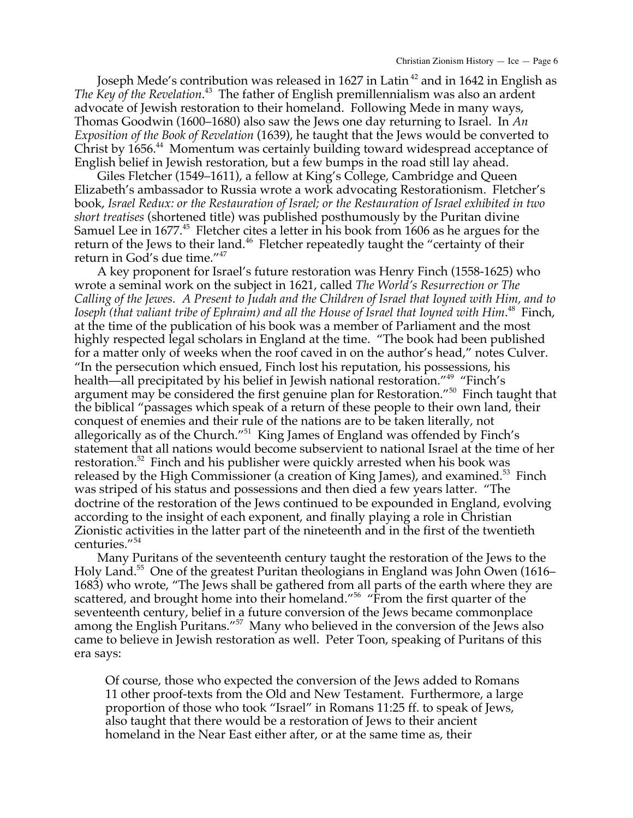Joseph Mede's contribution was released in 1627 in Latin <sup>42</sup> and in 1642 in English as *The Key of the Revelation*. 43 The father of English premillennialism was also an ardent advocate of Jewish restoration to their homeland. Following Mede in many ways, Thomas Goodwin (1600–1680) also saw the Jews one day returning to Israel. In *An Exposition of the Book of Revelation* (1639), he taught that the Jews would be converted to Christ by 1656.<sup>44</sup> Momentum was certainly building toward widespread acceptance of English belief in Jewish restoration, but a few bumps in the road still lay ahead.

Giles Fletcher (1549–1611), a fellow at King's College, Cambridge and Queen Elizabeth's ambassador to Russia wrote a work advocating Restorationism. Fletcher's book, *Israel Redux: or the Restauration of Israel; or the Restauration of Israel exhibited in two short treatises* (shortened title) was published posthumously by the Puritan divine Samuel Lee in 1677.<sup>45</sup> Fletcher cites a letter in his book from 1606 as he argues for the return of the Jews to their land.<sup>46</sup> Fletcher repeatedly taught the "certainty of their return in God's due time."<sup>47</sup>

A key proponent for Israel's future restoration was Henry Finch (1558-1625) who wrote a seminal work on the subject in 1621, called *The World's Resurrection or The Calling of the Jewes. A Present to Judah and the Children of Israel that Ioyned with Him, and to Ioseph (that valiant tribe of Ephraim) and all the House of Israel that Ioyned with Him*. 48 Finch, at the time of the publication of his book was a member of Parliament and the most highly respected legal scholars in England at the time. "The book had been published for a matter only of weeks when the roof caved in on the author's head," notes Culver. "In the persecution which ensued, Finch lost his reputation, his possessions, his health—all precipitated by his belief in Jewish national restoration."<sup>49</sup> "Finch's argument may be considered the first genuine plan for Restoration."<sup>50</sup> Finch taught that the biblical "passages which speak of a return of these people to their own land, their conquest of enemies and their rule of the nations are to be taken literally, not allegorically as of the Church."<sup>51</sup> King James of England was offended by Finch's statement that all nations would become subservient to national Israel at the time of her restoration.<sup>52</sup> Finch and his publisher were quickly arrested when his book was released by the High Commissioner (a creation of King James), and examined.<sup>53</sup> Finch was striped of his status and possessions and then died a few years latter. "The doctrine of the restoration of the Jews continued to be expounded in England, evolving according to the insight of each exponent, and finally playing a role in Christian Zionistic activities in the latter part of the nineteenth and in the first of the twentieth centuries."<sup>54</sup>

Many Puritans of the seventeenth century taught the restoration of the Jews to the Holy Land.55 One of the greatest Puritan theologians in England was John Owen (1616– 1683) who wrote, "The Jews shall be gathered from all parts of the earth where they are scattered, and brought home into their homeland."<sup>56</sup> "From the first quarter of the seventeenth century, belief in a future conversion of the Jews became commonplace among the English Puritans."57 Many who believed in the conversion of the Jews also came to believe in Jewish restoration as well. Peter Toon, speaking of Puritans of this era says:

Of course, those who expected the conversion of the Jews added to Romans 11 other proof-texts from the Old and New Testament. Furthermore, a large proportion of those who took "Israel" in Romans 11:25 ff. to speak of Jews, also taught that there would be a restoration of Jews to their ancient homeland in the Near East either after, or at the same time as, their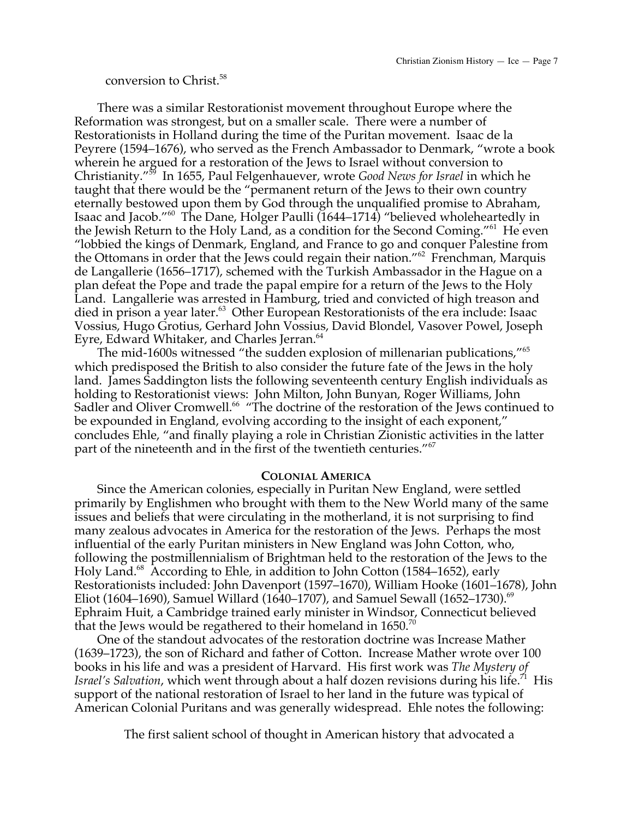# conversion to Christ.<sup>58</sup>

There was a similar Restorationist movement throughout Europe where the Reformation was strongest, but on a smaller scale. There were a number of Restorationists in Holland during the time of the Puritan movement. Isaac de la Peyrere (1594–1676), who served as the French Ambassador to Denmark, "wrote a book wherein he argued for a restoration of the Jews to Israel without conversion to Christianity."59 In 1655, Paul Felgenhauever, wrote *Good News for Israel* in which he taught that there would be the "permanent return of the Jews to their own country eternally bestowed upon them by God through the unqualified promise to Abraham, Isaac and Jacob."60 The Dane, Holger Paulli (1644–1714) "believed wholeheartedly in the Jewish Return to the Holy Land, as a condition for the Second Coming."61 He even "lobbied the kings of Denmark, England, and France to go and conquer Palestine from the Ottomans in order that the Jews could regain their nation."62 Frenchman, Marquis de Langallerie (1656–1717), schemed with the Turkish Ambassador in the Hague on a plan defeat the Pope and trade the papal empire for a return of the Jews to the Holy Land. Langallerie was arrested in Hamburg, tried and convicted of high treason and died in prison a year later.<sup>63</sup> Other European Restorationists of the era include: Isaac Vossius, Hugo Grotius, Gerhard John Vossius, David Blondel, Vasover Powel, Joseph Eyre, Edward Whitaker, and Charles Jerran.<sup>64</sup>

The mid-1600s witnessed "the sudden explosion of millenarian publications,"<sup>65</sup> which predisposed the British to also consider the future fate of the Jews in the holy land. James Saddington lists the following seventeenth century English individuals as holding to Restorationist views: John Milton, John Bunyan, Roger Williams, John Sadler and Oliver Cromwell.<sup>66</sup> "The doctrine of the restoration of the Jews continued to be expounded in England, evolving according to the insight of each exponent," concludes Ehle, "and finally playing a role in Christian Zionistic activities in the latter part of the nineteenth and in the first of the twentieth centuries."<sup>67</sup>

### **COLONIAL AMERICA**

Since the American colonies, especially in Puritan New England, were settled primarily by Englishmen who brought with them to the New World many of the same issues and beliefs that were circulating in the motherland, it is not surprising to find many zealous advocates in America for the restoration of the Jews. Perhaps the most influential of the early Puritan ministers in New England was John Cotton, who, following the postmillennialism of Brightman held to the restoration of the Jews to the Holy Land.68 According to Ehle, in addition to John Cotton (1584–1652), early Restorationists included: John Davenport (1597–1670), William Hooke (1601–1678), John Eliot (1604–1690), Samuel Willard (1640–1707), and Samuel Sewall (1652–1730).<sup>69</sup> Ephraim Huit, a Cambridge trained early minister in Windsor, Connecticut believed that the Jews would be regathered to their homeland in  $1650.^{70}$ 

One of the standout advocates of the restoration doctrine was Increase Mather (1639–1723), the son of Richard and father of Cotton. Increase Mather wrote over 100 books in his life and was a president of Harvard. His first work was *The Mystery of Israel's Salvation*, which went through about a half dozen revisions during his life.<sup>71</sup> His support of the national restoration of Israel to her land in the future was typical of American Colonial Puritans and was generally widespread. Ehle notes the following:

The first salient school of thought in American history that advocated a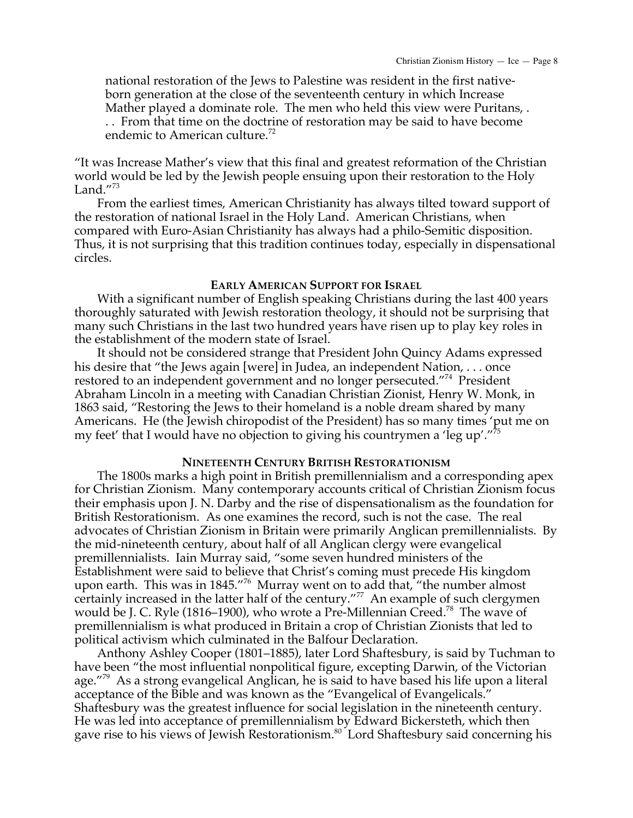national restoration of the Jews to Palestine was resident in the first nativeborn generation at the close of the seventeenth century in which Increase Mather played a dominate role. The men who held this view were Puritans, . . . From that time on the doctrine of restoration may be said to have become endemic to American culture.<sup>72</sup>

"It was Increase Mather's view that this final and greatest reformation of the Christian world would be led by the Jewish people ensuing upon their restoration to the Holy Land. $^{\prime\prime73}$ 

From the earliest times, American Christianity has always tilted toward support of the restoration of national Israel in the Holy Land. American Christians, when compared with Euro-Asian Christianity has always had a philo-Semitic disposition. Thus, it is not surprising that this tradition continues today, especially in dispensational circles.

### **EARLY AMERICAN SUPPORT FOR ISRAEL**

With a significant number of English speaking Christians during the last 400 years thoroughly saturated with Jewish restoration theology, it should not be surprising that many such Christians in the last two hundred years have risen up to play key roles in the establishment of the modern state of Israel.

It should not be considered strange that President John Quincy Adams expressed his desire that "the Jews again [were] in Judea, an independent Nation, . . . once restored to an independent government and no longer persecuted."74 President Abraham Lincoln in a meeting with Canadian Christian Zionist, Henry W. Monk, in 1863 said, "Restoring the Jews to their homeland is a noble dream shared by many Americans. He (the Jewish chiropodist of the President) has so many times 'put me on my feet' that I would have no objection to giving his countrymen a 'leg up'."75

### **NINETEENTH CENTURY BRITISH RESTORATIONISM**

The 1800s marks a high point in British premillennialism and a corresponding apex for Christian Zionism. Many contemporary accounts critical of Christian Zionism focus their emphasis upon J. N. Darby and the rise of dispensationalism as the foundation for British Restorationism. As one examines the record, such is not the case. The real advocates of Christian Zionism in Britain were primarily Anglican premillennialists. By the mid-nineteenth century, about half of all Anglican clergy were evangelical premillennialists. Iain Murray said, "some seven hundred ministers of the Establishment were said to believe that Christ's coming must precede His kingdom upon earth. This was in 1845."76 Murray went on to add that, "the number almost certainly increased in the latter half of the century."<sup>77</sup> An example of such clergymen would be J. C. Ryle (1816–1900), who wrote a Pre-Millennian Creed.<sup>78</sup> The wave of premillennialism is what produced in Britain a crop of Christian Zionists that led to political activism which culminated in the Balfour Declaration.

Anthony Ashley Cooper (1801–1885), later Lord Shaftesbury, is said by Tuchman to have been "the most influential nonpolitical figure, excepting Darwin, of the Victorian age."79 As a strong evangelical Anglican, he is said to have based his life upon a literal acceptance of the Bible and was known as the "Evangelical of Evangelicals." Shaftesbury was the greatest influence for social legislation in the nineteenth century. He was led into acceptance of premillennialism by Edward Bickersteth, which then gave rise to his views of Jewish Restorationism.<sup>80</sup> Lord Shaftesbury said concerning his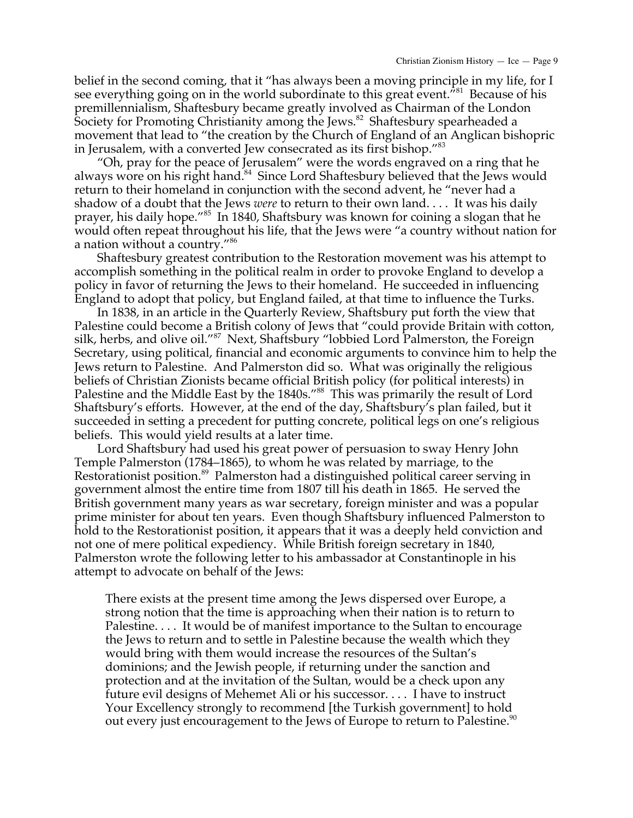belief in the second coming, that it "has always been a moving principle in my life, for I see everything going on in the world subordinate to this great event.<sup>781</sup> Because of his premillennialism, Shaftesbury became greatly involved as Chairman of the London Society for Promoting Christianity among the Jews.<sup>82</sup> Shaftesbury spearheaded a movement that lead to "the creation by the Church of England of an Anglican bishopric in Jerusalem, with a converted Jew consecrated as its first bishop."83

"Oh, pray for the peace of Jerusalem" were the words engraved on a ring that he always wore on his right hand.<sup>84</sup> Since Lord Shaftesbury believed that the Jews would return to their homeland in conjunction with the second advent, he "never had a shadow of a doubt that the Jews *were* to return to their own land. . . . It was his daily prayer, his daily hope."85 In 1840, Shaftsbury was known for coining a slogan that he would often repeat throughout his life, that the Jews were "a country without nation for a nation without a country."<sup>86</sup>

Shaftesbury greatest contribution to the Restoration movement was his attempt to accomplish something in the political realm in order to provoke England to develop a policy in favor of returning the Jews to their homeland. He succeeded in influencing England to adopt that policy, but England failed, at that time to influence the Turks.

In 1838, in an article in the Quarterly Review, Shaftsbury put forth the view that Palestine could become a British colony of Jews that "could provide Britain with cotton, silk, herbs, and olive oil."<sup>87</sup> Next, Shaftsbury "lobbied Lord Palmerston, the Foreign Secretary, using political, financial and economic arguments to convince him to help the Jews return to Palestine. And Palmerston did so. What was originally the religious beliefs of Christian Zionists became official British policy (for political interests) in Palestine and the Middle East by the 1840s."<sup>88</sup> This was primarily the result of Lord Shaftsbury's efforts. However, at the end of the day, Shaftsbury's plan failed, but it succeeded in setting a precedent for putting concrete, political legs on one's religious beliefs. This would yield results at a later time.

Lord Shaftsbury had used his great power of persuasion to sway Henry John Temple Palmerston (1784–1865), to whom he was related by marriage, to the Restorationist position.<sup>89</sup> Palmerston had a distinguished political career serving in government almost the entire time from 1807 till his death in 1865. He served the British government many years as war secretary, foreign minister and was a popular prime minister for about ten years. Even though Shaftsbury influenced Palmerston to hold to the Restorationist position, it appears that it was a deeply held conviction and not one of mere political expediency. While British foreign secretary in 1840, Palmerston wrote the following letter to his ambassador at Constantinople in his attempt to advocate on behalf of the Jews:

There exists at the present time among the Jews dispersed over Europe, a strong notion that the time is approaching when their nation is to return to Palestine. . . . It would be of manifest importance to the Sultan to encourage the Jews to return and to settle in Palestine because the wealth which they would bring with them would increase the resources of the Sultan's dominions; and the Jewish people, if returning under the sanction and protection and at the invitation of the Sultan, would be a check upon any future evil designs of Mehemet Ali or his successor. . . . I have to instruct Your Excellency strongly to recommend [the Turkish government] to hold out every just encouragement to the Jews of Europe to return to Palestine.<sup>90</sup>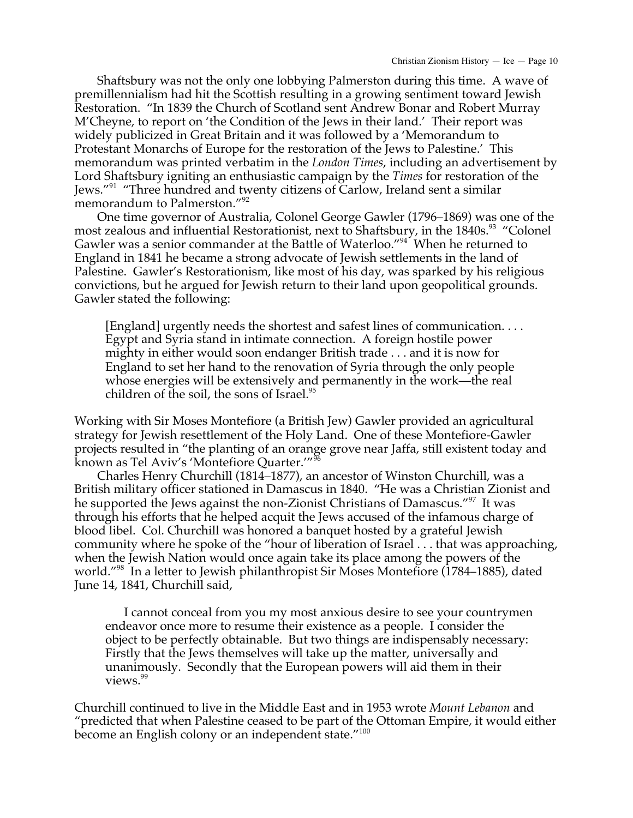Shaftsbury was not the only one lobbying Palmerston during this time. A wave of premillennialism had hit the Scottish resulting in a growing sentiment toward Jewish Restoration. "In 1839 the Church of Scotland sent Andrew Bonar and Robert Murray M'Cheyne, to report on 'the Condition of the Jews in their land.' Their report was widely publicized in Great Britain and it was followed by a 'Memorandum to Protestant Monarchs of Europe for the restoration of the Jews to Palestine.' This memorandum was printed verbatim in the *London Times*, including an advertisement by Lord Shaftsbury igniting an enthusiastic campaign by the *Times* for restoration of the Jews."91 "Three hundred and twenty citizens of Carlow, Ireland sent a similar memorandum to Palmerston."<sup>92</sup>

One time governor of Australia, Colonel George Gawler (1796–1869) was one of the most zealous and influential Restorationist, next to Shaftsbury, in the  $1840s$ .<sup>93</sup> "Colonel Gawler was a senior commander at the Battle of Waterloo."<sup>94</sup> When he returned to England in 1841 he became a strong advocate of Jewish settlements in the land of Palestine. Gawler's Restorationism, like most of his day, was sparked by his religious convictions, but he argued for Jewish return to their land upon geopolitical grounds. Gawler stated the following:

[England] urgently needs the shortest and safest lines of communication. . . . Egypt and Syria stand in intimate connection. A foreign hostile power mighty in either would soon endanger British trade . . . and it is now for England to set her hand to the renovation of Syria through the only people whose energies will be extensively and permanently in the work—the real children of the soil, the sons of Israel.<sup>95</sup>

Working with Sir Moses Montefiore (a British Jew) Gawler provided an agricultural strategy for Jewish resettlement of the Holy Land. One of these Montefiore-Gawler projects resulted in "the planting of an orange grove near Jaffa, still existent today and known as Tel Aviv's 'Montefiore Quarter.'"96

Charles Henry Churchill (1814–1877), an ancestor of Winston Churchill, was a British military officer stationed in Damascus in 1840. "He was a Christian Zionist and he supported the Jews against the non-Zionist Christians of Damascus."97 It was through his efforts that he helped acquit the Jews accused of the infamous charge of blood libel. Col. Churchill was honored a banquet hosted by a grateful Jewish community where he spoke of the "hour of liberation of Israel . . . that was approaching, when the Jewish Nation would once again take its place among the powers of the world."98 In a letter to Jewish philanthropist Sir Moses Montefiore (1784–1885), dated June 14, 1841, Churchill said,

I cannot conceal from you my most anxious desire to see your countrymen endeavor once more to resume their existence as a people. I consider the object to be perfectly obtainable. But two things are indispensably necessary: Firstly that the Jews themselves will take up the matter, universally and unanimously. Secondly that the European powers will aid them in their views.<sup>99</sup>

Churchill continued to live in the Middle East and in 1953 wrote *Mount Lebanon* and "predicted that when Palestine ceased to be part of the Ottoman Empire, it would either become an English colony or an independent state."<sup>100</sup>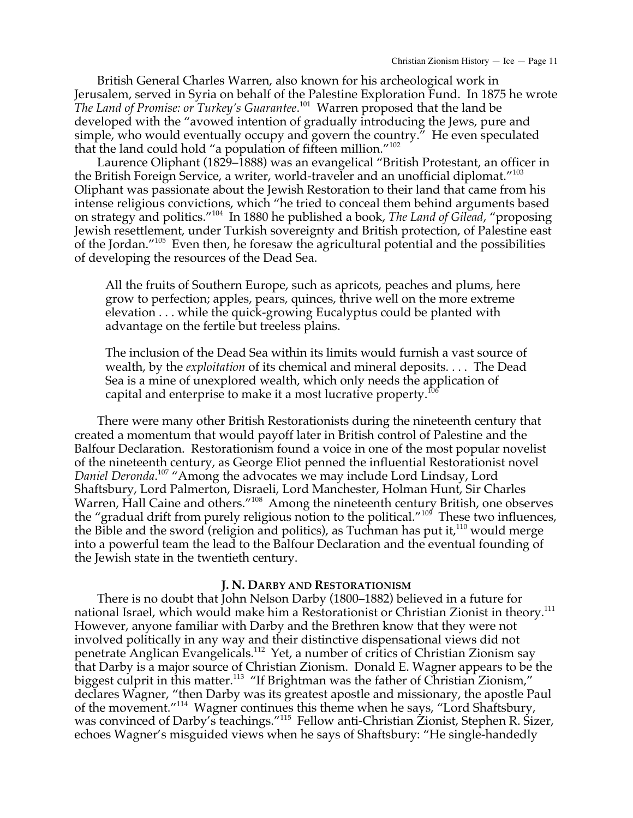British General Charles Warren, also known for his archeological work in Jerusalem, served in Syria on behalf of the Palestine Exploration Fund. In 1875 he wrote *The Land of Promise: or Turkey's Guarantee*. 101 Warren proposed that the land be developed with the "avowed intention of gradually introducing the Jews, pure and simple, who would eventually occupy and govern the country." He even speculated that the land could hold "a population of fifteen million."<sup>102</sup>

Laurence Oliphant (1829–1888) was an evangelical "British Protestant, an officer in the British Foreign Service, a writer, world-traveler and an unofficial diplomat."<sup>103</sup> Oliphant was passionate about the Jewish Restoration to their land that came from his intense religious convictions, which "he tried to conceal them behind arguments based on strategy and politics."104 In 1880 he published a book, *The Land of Gilead*, "proposing Jewish resettlement, under Turkish sovereignty and British protection, of Palestine east of the Jordan."105 Even then, he foresaw the agricultural potential and the possibilities of developing the resources of the Dead Sea.

All the fruits of Southern Europe, such as apricots, peaches and plums, here grow to perfection; apples, pears, quinces, thrive well on the more extreme elevation . . . while the quick-growing Eucalyptus could be planted with advantage on the fertile but treeless plains.

The inclusion of the Dead Sea within its limits would furnish a vast source of wealth, by the *exploitation* of its chemical and mineral deposits. . . . The Dead Sea is a mine of unexplored wealth, which only needs the application of capital and enterprise to make it a most lucrative property.<sup>106</sup>

There were many other British Restorationists during the nineteenth century that created a momentum that would payoff later in British control of Palestine and the Balfour Declaration. Restorationism found a voice in one of the most popular novelist of the nineteenth century, as George Eliot penned the influential Restorationist novel *Daniel Deronda*. <sup>107</sup> "Among the advocates we may include Lord Lindsay, Lord Shaftsbury, Lord Palmerton, Disraeli, Lord Manchester, Holman Hunt, Sir Charles Warren, Hall Caine and others."<sup>108</sup> Among the nineteenth century British, one observes the "gradual drift from purely religious notion to the political."<sup>109</sup> These two influences, the Bible and the sword (religion and politics), as Tuchman has put it, $110$  would merge into a powerful team the lead to the Balfour Declaration and the eventual founding of the Jewish state in the twentieth century.

### **J. N. DARBY AND RESTORATIONISM**

There is no doubt that John Nelson Darby (1800–1882) believed in a future for national Israel, which would make him a Restorationist or Christian Zionist in theory.<sup>111</sup> However, anyone familiar with Darby and the Brethren know that they were not involved politically in any way and their distinctive dispensational views did not penetrate Anglican Evangelicals.112 Yet, a number of critics of Christian Zionism say that Darby is a major source of Christian Zionism. Donald E. Wagner appears to be the biggest culprit in this matter.<sup>113</sup> "If Brightman was the father of Christian Zionism," declares Wagner, "then Darby was its greatest apostle and missionary, the apostle Paul of the movement."114 Wagner continues this theme when he says, "Lord Shaftsbury, was convinced of Darby's teachings."<sup>115</sup> Fellow anti-Christian Zionist, Stephen R. Sizer, echoes Wagner's misguided views when he says of Shaftsbury: "He single-handedly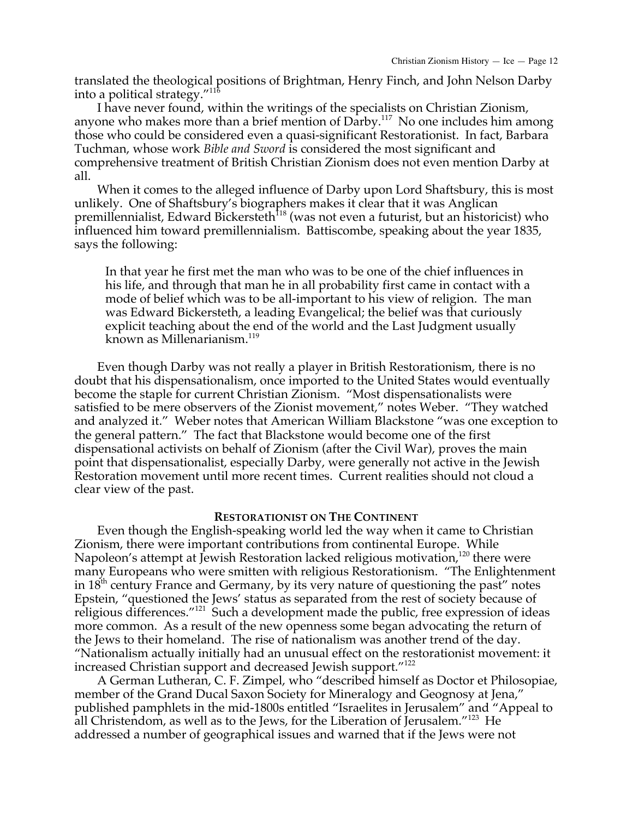translated the theological positions of Brightman, Henry Finch, and John Nelson Darby into a political strategy. $^{\prime\prime\,116}$ 

I have never found, within the writings of the specialists on Christian Zionism, anyone who makes more than a brief mention of Darby.117 No one includes him among those who could be considered even a quasi-significant Restorationist. In fact, Barbara Tuchman, whose work *Bible and Sword* is considered the most significant and comprehensive treatment of British Christian Zionism does not even mention Darby at all.

When it comes to the alleged influence of Darby upon Lord Shaftsbury, this is most unlikely. One of Shaftsbury's biographers makes it clear that it was Anglican premillennialist, Edward Bickersteth<sup>118</sup> (was not even a futurist, but an historicist) who influenced him toward premillennialism. Battiscombe, speaking about the year 1835, says the following:

In that year he first met the man who was to be one of the chief influences in his life, and through that man he in all probability first came in contact with a mode of belief which was to be all-important to his view of religion. The man was Edward Bickersteth, a leading Evangelical; the belief was that curiously explicit teaching about the end of the world and the Last Judgment usually known as Millenarianism.<sup>119</sup>

Even though Darby was not really a player in British Restorationism, there is no doubt that his dispensationalism, once imported to the United States would eventually become the staple for current Christian Zionism. "Most dispensationalists were satisfied to be mere observers of the Zionist movement," notes Weber. "They watched and analyzed it." Weber notes that American William Blackstone "was one exception to the general pattern." The fact that Blackstone would become one of the first dispensational activists on behalf of Zionism (after the Civil War), proves the main point that dispensationalist, especially Darby, were generally not active in the Jewish Restoration movement until more recent times. Current realities should not cloud a clear view of the past.

### **RESTORATIONIST ON THE CONTINENT**

Even though the English-speaking world led the way when it came to Christian Zionism, there were important contributions from continental Europe. While Napoleon's attempt at Jewish Restoration lacked religious motivation,<sup>120</sup> there were many Europeans who were smitten with religious Restorationism. "The Enlightenment in  $18<sup>th</sup>$  century France and Germany, by its very nature of questioning the past" notes Epstein, "questioned the Jews' status as separated from the rest of society because of religious differences."121 Such a development made the public, free expression of ideas more common. As a result of the new openness some began advocating the return of the Jews to their homeland. The rise of nationalism was another trend of the day. "Nationalism actually initially had an unusual effect on the restorationist movement: it increased Christian support and decreased Jewish support."122

A German Lutheran, C. F. Zimpel, who "described himself as Doctor et Philosopiae, member of the Grand Ducal Saxon Society for Mineralogy and Geognosy at Jena," published pamphlets in the mid-1800s entitled "Israelites in Jerusalem" and "Appeal to all Christendom, as well as to the Jews, for the Liberation of Jerusalem."123 He addressed a number of geographical issues and warned that if the Jews were not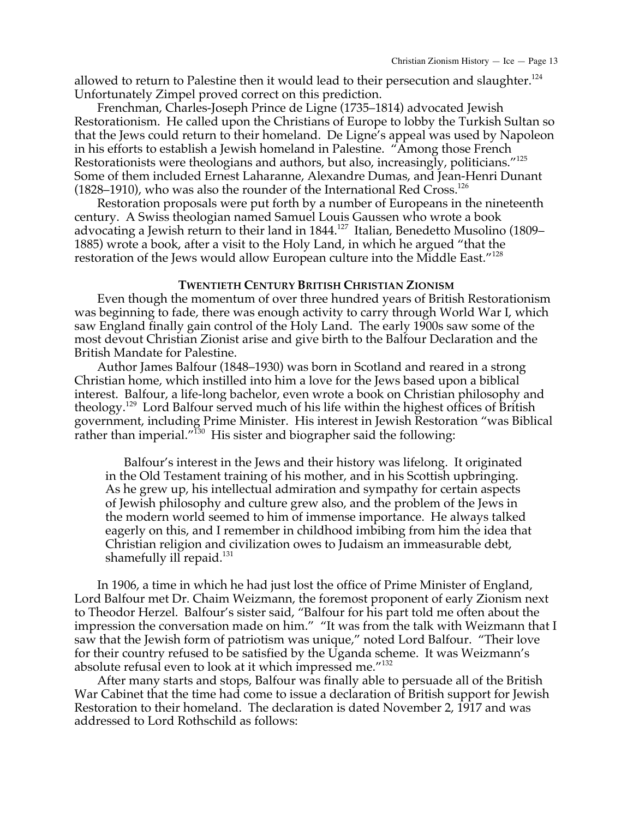allowed to return to Palestine then it would lead to their persecution and slaughter.<sup>124</sup> Unfortunately Zimpel proved correct on this prediction.

Frenchman, Charles-Joseph Prince de Ligne (1735–1814) advocated Jewish Restorationism. He called upon the Christians of Europe to lobby the Turkish Sultan so that the Jews could return to their homeland. De Ligne's appeal was used by Napoleon in his efforts to establish a Jewish homeland in Palestine. "Among those French Restorationists were theologians and authors, but also, increasingly, politicians."125 Some of them included Ernest Laharanne, Alexandre Dumas, and Jean-Henri Dunant (1828–1910), who was also the rounder of the International Red Cross.126

Restoration proposals were put forth by a number of Europeans in the nineteenth century. A Swiss theologian named Samuel Louis Gaussen who wrote a book advocating a Jewish return to their land in 1844.<sup>127</sup> Italian, Benedetto Musolino (1809– 1885) wrote a book, after a visit to the Holy Land, in which he argued "that the restoration of the Jews would allow European culture into the Middle East."<sup>128</sup>

### **TWENTIETH CENTURY BRITISH CHRISTIAN ZIONISM**

Even though the momentum of over three hundred years of British Restorationism was beginning to fade, there was enough activity to carry through World War I, which saw England finally gain control of the Holy Land. The early 1900s saw some of the most devout Christian Zionist arise and give birth to the Balfour Declaration and the British Mandate for Palestine.

Author James Balfour (1848–1930) was born in Scotland and reared in a strong Christian home, which instilled into him a love for the Jews based upon a biblical interest. Balfour, a life-long bachelor, even wrote a book on Christian philosophy and theology.129 Lord Balfour served much of his life within the highest offices of British government, including Prime Minister. His interest in Jewish Restoration "was Biblical rather than imperial."<sup>130</sup> His sister and biographer said the following:

Balfour's interest in the Jews and their history was lifelong. It originated in the Old Testament training of his mother, and in his Scottish upbringing. As he grew up, his intellectual admiration and sympathy for certain aspects of Jewish philosophy and culture grew also, and the problem of the Jews in the modern world seemed to him of immense importance. He always talked eagerly on this, and I remember in childhood imbibing from him the idea that Christian religion and civilization owes to Judaism an immeasurable debt, shamefully ill repaid.<sup>131</sup>

In 1906, a time in which he had just lost the office of Prime Minister of England, Lord Balfour met Dr. Chaim Weizmann, the foremost proponent of early Zionism next to Theodor Herzel. Balfour's sister said, "Balfour for his part told me often about the impression the conversation made on him." "It was from the talk with Weizmann that I saw that the Jewish form of patriotism was unique," noted Lord Balfour. "Their love for their country refused to be satisfied by the Uganda scheme. It was Weizmann's absolute refusal even to look at it which impressed me."132

After many starts and stops, Balfour was finally able to persuade all of the British War Cabinet that the time had come to issue a declaration of British support for Jewish Restoration to their homeland. The declaration is dated November 2, 1917 and was addressed to Lord Rothschild as follows: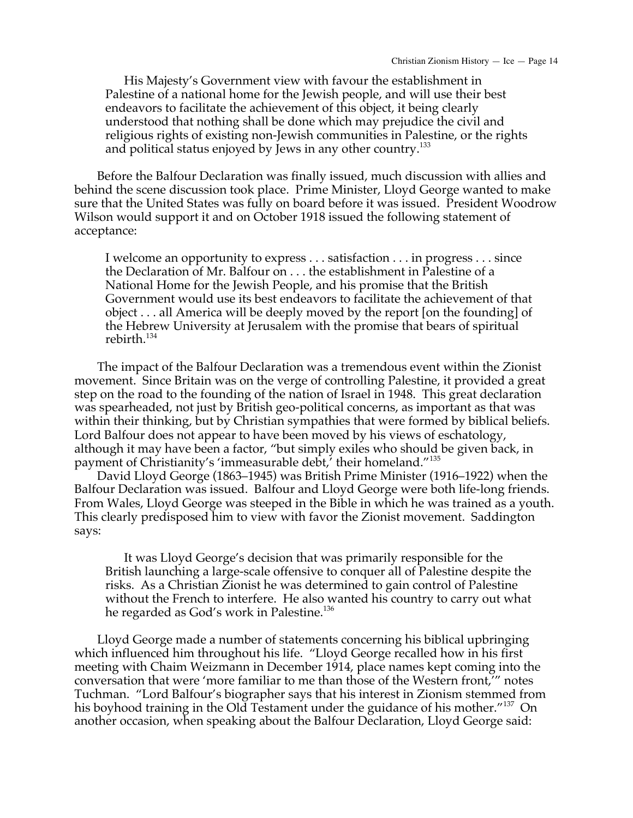His Majesty's Government view with favour the establishment in Palestine of a national home for the Jewish people, and will use their best endeavors to facilitate the achievement of this object, it being clearly understood that nothing shall be done which may prejudice the civil and religious rights of existing non-Jewish communities in Palestine, or the rights and political status enjoyed by Jews in any other country.<sup>133</sup>

Before the Balfour Declaration was finally issued, much discussion with allies and behind the scene discussion took place. Prime Minister, Lloyd George wanted to make sure that the United States was fully on board before it was issued. President Woodrow Wilson would support it and on October 1918 issued the following statement of acceptance:

I welcome an opportunity to express . . . satisfaction . . . in progress . . . since the Declaration of Mr. Balfour on . . . the establishment in Palestine of a National Home for the Jewish People, and his promise that the British Government would use its best endeavors to facilitate the achievement of that object . . . all America will be deeply moved by the report [on the founding] of the Hebrew University at Jerusalem with the promise that bears of spiritual rebirth.<sup>134</sup>

The impact of the Balfour Declaration was a tremendous event within the Zionist movement. Since Britain was on the verge of controlling Palestine, it provided a great step on the road to the founding of the nation of Israel in 1948. This great declaration was spearheaded, not just by British geo-political concerns, as important as that was within their thinking, but by Christian sympathies that were formed by biblical beliefs. Lord Balfour does not appear to have been moved by his views of eschatology, although it may have been a factor, "but simply exiles who should be given back, in payment of Christianity's 'immeasurable debt,' their homeland."<sup>135</sup>

David Lloyd George (1863–1945) was British Prime Minister (1916–1922) when the Balfour Declaration was issued. Balfour and Lloyd George were both life-long friends. From Wales, Lloyd George was steeped in the Bible in which he was trained as a youth. This clearly predisposed him to view with favor the Zionist movement. Saddington says:

It was Lloyd George's decision that was primarily responsible for the British launching a large-scale offensive to conquer all of Palestine despite the risks. As a Christian Zionist he was determined to gain control of Palestine without the French to interfere. He also wanted his country to carry out what he regarded as God's work in Palestine.<sup>136</sup>

Lloyd George made a number of statements concerning his biblical upbringing which influenced him throughout his life. "Lloyd George recalled how in his first meeting with Chaim Weizmann in December 1914, place names kept coming into the conversation that were 'more familiar to me than those of the Western front,'" notes Tuchman. "Lord Balfour's biographer says that his interest in Zionism stemmed from his boyhood training in the Old Testament under the guidance of his mother.<sup>"137</sup> On another occasion, when speaking about the Balfour Declaration, Lloyd George said: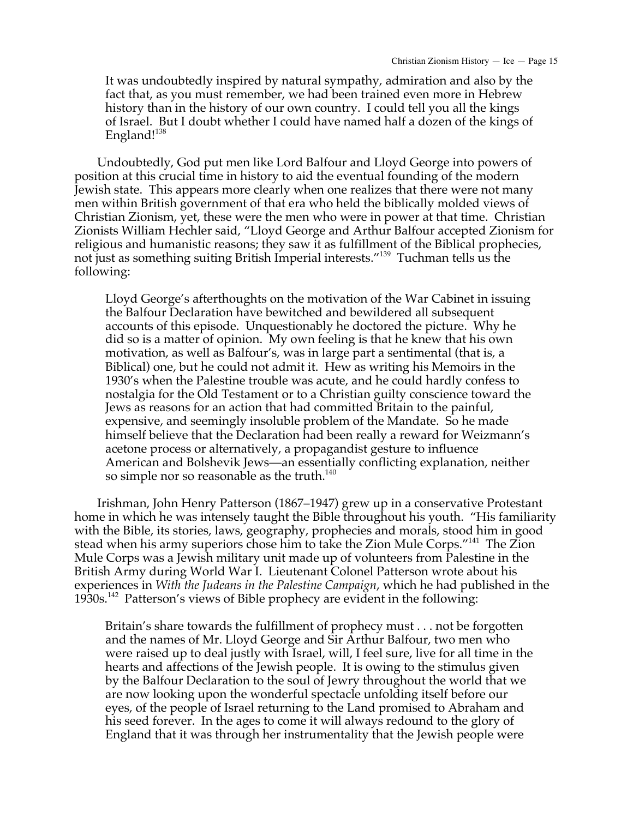It was undoubtedly inspired by natural sympathy, admiration and also by the fact that, as you must remember, we had been trained even more in Hebrew history than in the history of our own country. I could tell you all the kings of Israel. But I doubt whether I could have named half a dozen of the kings of England! $138$ 

Undoubtedly, God put men like Lord Balfour and Lloyd George into powers of position at this crucial time in history to aid the eventual founding of the modern Jewish state. This appears more clearly when one realizes that there were not many men within British government of that era who held the biblically molded views of Christian Zionism, yet, these were the men who were in power at that time. Christian Zionists William Hechler said, "Lloyd George and Arthur Balfour accepted Zionism for religious and humanistic reasons; they saw it as fulfillment of the Biblical prophecies, not just as something suiting British Imperial interests."139 Tuchman tells us the following:

Lloyd George's afterthoughts on the motivation of the War Cabinet in issuing the Balfour Declaration have bewitched and bewildered all subsequent accounts of this episode. Unquestionably he doctored the picture. Why he did so is a matter of opinion. My own feeling is that he knew that his own motivation, as well as Balfour's, was in large part a sentimental (that is, a Biblical) one, but he could not admit it. Hew as writing his Memoirs in the 1930's when the Palestine trouble was acute, and he could hardly confess to nostalgia for the Old Testament or to a Christian guilty conscience toward the Jews as reasons for an action that had committed Britain to the painful, expensive, and seemingly insoluble problem of the Mandate. So he made himself believe that the Declaration had been really a reward for Weizmann's acetone process or alternatively, a propagandist gesture to influence American and Bolshevik Jews—an essentially conflicting explanation, neither so simple nor so reasonable as the truth.<sup>140</sup>

Irishman, John Henry Patterson (1867–1947) grew up in a conservative Protestant home in which he was intensely taught the Bible throughout his youth. "His familiarity with the Bible, its stories, laws, geography, prophecies and morals, stood him in good stead when his army superiors chose him to take the Zion Mule Corps."141 The Zion Mule Corps was a Jewish military unit made up of volunteers from Palestine in the British Army during World War I. Lieutenant Colonel Patterson wrote about his experiences in *With the Judeans in the Palestine Campaign*, which he had published in the 1930s.<sup>142</sup> Patterson's views of Bible prophecy are evident in the following:

Britain's share towards the fulfillment of prophecy must . . . not be forgotten and the names of Mr. Lloyd George and Sir Arthur Balfour, two men who were raised up to deal justly with Israel, will, I feel sure, live for all time in the hearts and affections of the Jewish people. It is owing to the stimulus given by the Balfour Declaration to the soul of Jewry throughout the world that we are now looking upon the wonderful spectacle unfolding itself before our eyes, of the people of Israel returning to the Land promised to Abraham and his seed forever. In the ages to come it will always redound to the glory of England that it was through her instrumentality that the Jewish people were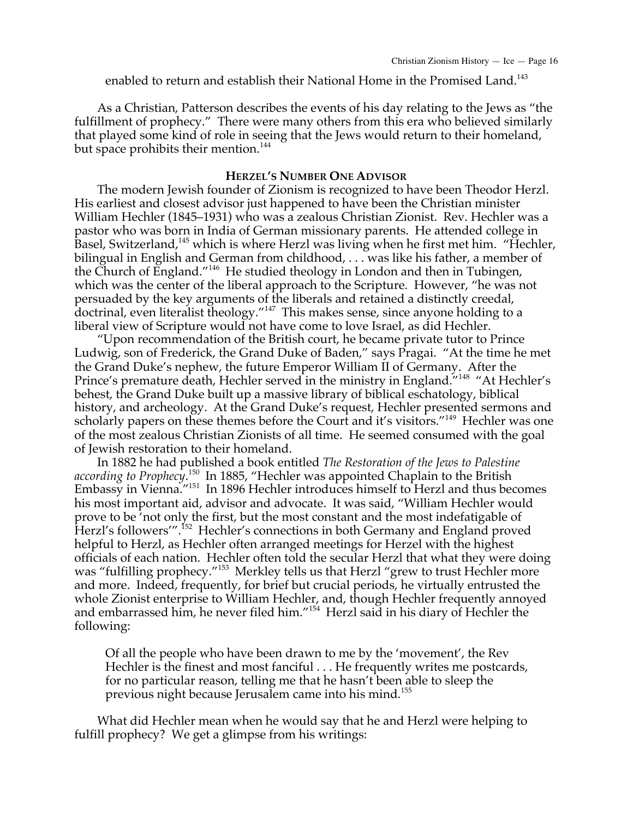enabled to return and establish their National Home in the Promised Land.<sup>143</sup>

As a Christian, Patterson describes the events of his day relating to the Jews as "the fulfillment of prophecy." There were many others from this era who believed similarly that played some kind of role in seeing that the Jews would return to their homeland, but space prohibits their mention.<sup>144</sup>

## **HERZEL'S NUMBER ONE ADVISOR**

The modern Jewish founder of Zionism is recognized to have been Theodor Herzl. His earliest and closest advisor just happened to have been the Christian minister William Hechler (1845–1931) who was a zealous Christian Zionist. Rev. Hechler was a pastor who was born in India of German missionary parents. He attended college in Basel, Switzerland,<sup>145</sup> which is where Herzl was living when he first met him. "Hechler, bilingual in English and German from childhood, . . . was like his father, a member of the Church of England."146 He studied theology in London and then in Tubingen, which was the center of the liberal approach to the Scripture. However, "he was not persuaded by the key arguments of the liberals and retained a distinctly creedal, doctrinal, even literalist theology."147 This makes sense, since anyone holding to a liberal view of Scripture would not have come to love Israel, as did Hechler.

"Upon recommendation of the British court, he became private tutor to Prince Ludwig, son of Frederick, the Grand Duke of Baden," says Pragai. "At the time he met the Grand Duke's nephew, the future Emperor William II of Germany. After the Prince's premature death, Hechler served in the ministry in England."<sup>148</sup> "At Hechler's behest, the Grand Duke built up a massive library of biblical eschatology, biblical history, and archeology. At the Grand Duke's request, Hechler presented sermons and scholarly papers on these themes before the Court and it's visitors."<sup>149</sup> Hechler was one of the most zealous Christian Zionists of all time. He seemed consumed with the goal of Jewish restoration to their homeland.

In 1882 he had published a book entitled *The Restoration of the Jews to Palestine*  according to Prophecy.<sup>150</sup> In 1885, "Hechler was appointed Chaplain to the British Embassy in Vienna."151 In 1896 Hechler introduces himself to Herzl and thus becomes his most important aid, advisor and advocate. It was said, "William Hechler would prove to be 'not only the first, but the most constant and the most indefatigable of Herzl's followers'".152 Hechler's connections in both Germany and England proved helpful to Herzl, as Hechler often arranged meetings for Herzel with the highest officials of each nation. Hechler often told the secular Herzl that what they were doing was "fulfilling prophecy."153 Merkley tells us that Herzl "grew to trust Hechler more and more. Indeed, frequently, for brief but crucial periods, he virtually entrusted the whole Zionist enterprise to William Hechler, and, though Hechler frequently annoyed and embarrassed him, he never filed him."154 Herzl said in his diary of Hechler the following:

Of all the people who have been drawn to me by the 'movement', the Rev Hechler is the finest and most fanciful . . . He frequently writes me postcards, for no particular reason, telling me that he hasn't been able to sleep the previous night because Jerusalem came into his mind.155

What did Hechler mean when he would say that he and Herzl were helping to fulfill prophecy? We get a glimpse from his writings: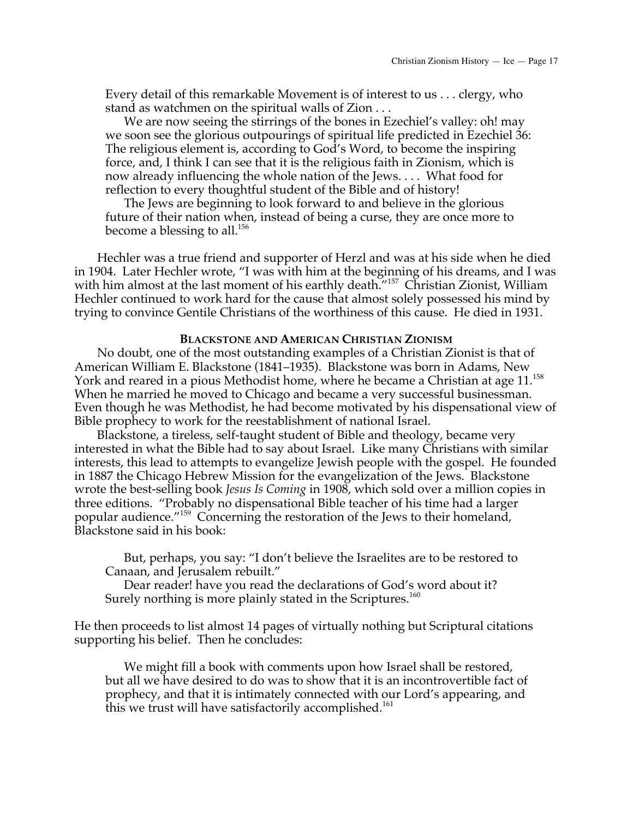Every detail of this remarkable Movement is of interest to us . . . clergy, who stand as watchmen on the spiritual walls of Zion . . .

We are now seeing the stirrings of the bones in Ezechiel's valley: oh! may we soon see the glorious outpourings of spiritual life predicted in Ezechiel 36: The religious element is, according to God's Word, to become the inspiring force, and, I think I can see that it is the religious faith in Zionism, which is now already influencing the whole nation of the Jews. . . . What food for reflection to every thoughtful student of the Bible and of history!

The Jews are beginning to look forward to and believe in the glorious future of their nation when, instead of being a curse, they are once more to become a blessing to all.<sup>156</sup>

Hechler was a true friend and supporter of Herzl and was at his side when he died in 1904. Later Hechler wrote, "I was with him at the beginning of his dreams, and I was with him almost at the last moment of his earthly death.<sup>"157</sup> Christian Zionist, William Hechler continued to work hard for the cause that almost solely possessed his mind by trying to convince Gentile Christians of the worthiness of this cause. He died in 1931.

#### **BLACKSTONE AND AMERICAN CHRISTIAN ZIONISM**

No doubt, one of the most outstanding examples of a Christian Zionist is that of American William E. Blackstone (1841–1935). Blackstone was born in Adams, New York and reared in a pious Methodist home, where he became a Christian at age 11.<sup>158</sup> When he married he moved to Chicago and became a very successful businessman. Even though he was Methodist, he had become motivated by his dispensational view of Bible prophecy to work for the reestablishment of national Israel.

Blackstone, a tireless, self-taught student of Bible and theology, became very interested in what the Bible had to say about Israel. Like many Christians with similar interests, this lead to attempts to evangelize Jewish people with the gospel. He founded in 1887 the Chicago Hebrew Mission for the evangelization of the Jews. Blackstone wrote the best-selling book *Jesus Is Coming* in 1908, which sold over a million copies in three editions. "Probably no dispensational Bible teacher of his time had a larger popular audience."159 Concerning the restoration of the Jews to their homeland, Blackstone said in his book:

But, perhaps, you say: "I don't believe the Israelites are to be restored to Canaan, and Jerusalem rebuilt."

Dear reader! have you read the declarations of God's word about it? Surely northing is more plainly stated in the Scriptures.<sup>160</sup>

He then proceeds to list almost 14 pages of virtually nothing but Scriptural citations supporting his belief. Then he concludes:

We might fill a book with comments upon how Israel shall be restored, but all we have desired to do was to show that it is an incontrovertible fact of prophecy, and that it is intimately connected with our Lord's appearing, and this we trust will have satisfactorily accomplished.<sup>161</sup>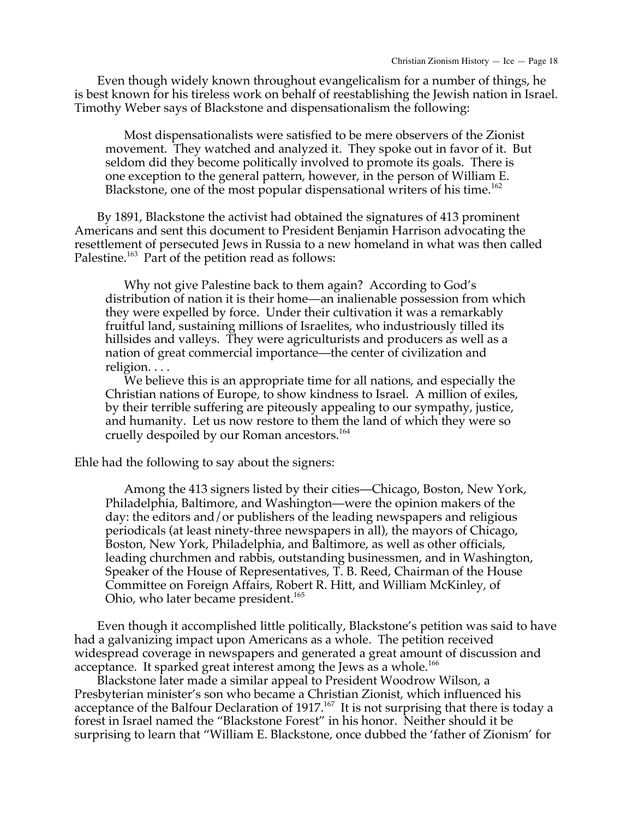Even though widely known throughout evangelicalism for a number of things, he is best known for his tireless work on behalf of reestablishing the Jewish nation in Israel. Timothy Weber says of Blackstone and dispensationalism the following:

Most dispensationalists were satisfied to be mere observers of the Zionist movement. They watched and analyzed it. They spoke out in favor of it. But seldom did they become politically involved to promote its goals. There is one exception to the general pattern, however, in the person of William E. Blackstone, one of the most popular dispensational writers of his time.<sup>162</sup>

By 1891, Blackstone the activist had obtained the signatures of 413 prominent Americans and sent this document to President Benjamin Harrison advocating the resettlement of persecuted Jews in Russia to a new homeland in what was then called Palestine.<sup>163</sup> Part of the petition read as follows:

Why not give Palestine back to them again? According to God's distribution of nation it is their home—an inalienable possession from which they were expelled by force. Under their cultivation it was a remarkably fruitful land, sustaining millions of Israelites, who industriously tilled its hillsides and valleys. They were agriculturists and producers as well as a nation of great commercial importance—the center of civilization and religion. . . .

We believe this is an appropriate time for all nations, and especially the Christian nations of Europe, to show kindness to Israel. A million of exiles, by their terrible suffering are piteously appealing to our sympathy, justice, and humanity. Let us now restore to them the land of which they were so cruelly despoiled by our Roman ancestors.<sup>164</sup>

Ehle had the following to say about the signers:

Among the 413 signers listed by their cities—Chicago, Boston, New York, Philadelphia, Baltimore, and Washington—were the opinion makers of the day: the editors and/or publishers of the leading newspapers and religious periodicals (at least ninety-three newspapers in all), the mayors of Chicago, Boston, New York, Philadelphia, and Baltimore, as well as other officials, leading churchmen and rabbis, outstanding businessmen, and in Washington, Speaker of the House of Representatives, T. B. Reed, Chairman of the House Committee on Foreign Affairs, Robert R. Hitt, and William McKinley, of Ohio, who later became president.<sup>165</sup>

Even though it accomplished little politically, Blackstone's petition was said to have had a galvanizing impact upon Americans as a whole. The petition received widespread coverage in newspapers and generated a great amount of discussion and acceptance. It sparked great interest among the Jews as a whole.<sup>166</sup>

Blackstone later made a similar appeal to President Woodrow Wilson, a Presbyterian minister's son who became a Christian Zionist, which influenced his acceptance of the Balfour Declaration of 1917.<sup>167</sup> It is not surprising that there is today a forest in Israel named the "Blackstone Forest" in his honor. Neither should it be surprising to learn that "William E. Blackstone, once dubbed the 'father of Zionism' for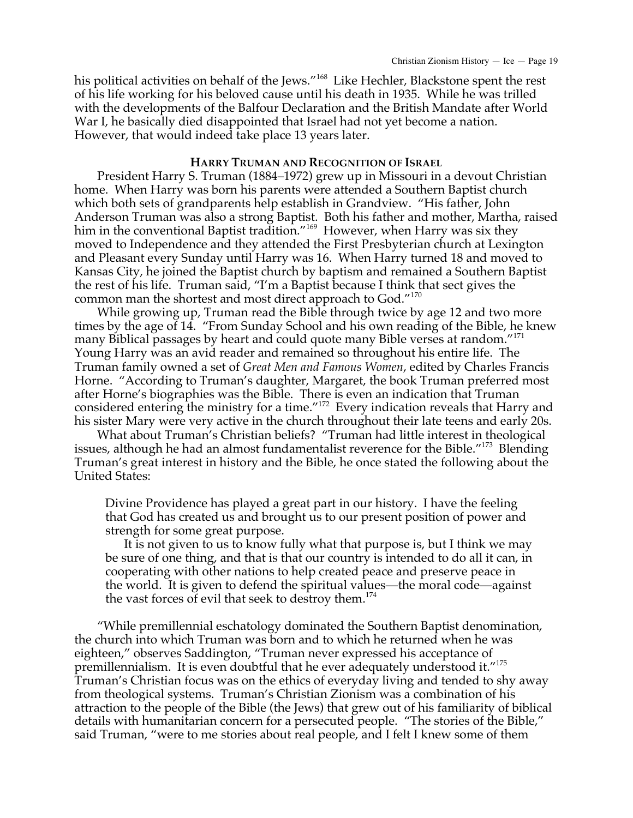his political activities on behalf of the Jews."<sup>168</sup> Like Hechler, Blackstone spent the rest of his life working for his beloved cause until his death in 1935. While he was trilled with the developments of the Balfour Declaration and the British Mandate after World War I, he basically died disappointed that Israel had not yet become a nation. However, that would indeed take place 13 years later.

### **HARRY TRUMAN AND RECOGNITION OF ISRAEL**

President Harry S. Truman (1884–1972) grew up in Missouri in a devout Christian home. When Harry was born his parents were attended a Southern Baptist church which both sets of grandparents help establish in Grandview. "His father, John Anderson Truman was also a strong Baptist. Both his father and mother, Martha, raised him in the conventional Baptist tradition."<sup>169</sup> However, when Harry was six they moved to Independence and they attended the First Presbyterian church at Lexington and Pleasant every Sunday until Harry was 16. When Harry turned 18 and moved to Kansas City, he joined the Baptist church by baptism and remained a Southern Baptist the rest of his life. Truman said, "I'm a Baptist because I think that sect gives the common man the shortest and most direct approach to God."<sup>170</sup>

While growing up, Truman read the Bible through twice by age 12 and two more times by the age of 14. "From Sunday School and his own reading of the Bible, he knew many Biblical passages by heart and could quote many Bible verses at random."<sup>171</sup> Young Harry was an avid reader and remained so throughout his entire life. The Truman family owned a set of *Great Men and Famous Women*, edited by Charles Francis Horne. "According to Truman's daughter, Margaret, the book Truman preferred most after Horne's biographies was the Bible. There is even an indication that Truman considered entering the ministry for a time."172 Every indication reveals that Harry and his sister Mary were very active in the church throughout their late teens and early 20s.

What about Truman's Christian beliefs? "Truman had little interest in theological issues, although he had an almost fundamentalist reverence for the Bible."<sup>173</sup> Blending Truman's great interest in history and the Bible, he once stated the following about the United States:

Divine Providence has played a great part in our history. I have the feeling that God has created us and brought us to our present position of power and strength for some great purpose.

It is not given to us to know fully what that purpose is, but I think we may be sure of one thing, and that is that our country is intended to do all it can, in cooperating with other nations to help created peace and preserve peace in the world. It is given to defend the spiritual values—the moral code—against the vast forces of evil that seek to destroy them.<sup>174</sup>

"While premillennial eschatology dominated the Southern Baptist denomination, the church into which Truman was born and to which he returned when he was eighteen," observes Saddington, "Truman never expressed his acceptance of premillennialism. It is even doubtful that he ever adequately understood it."<sup>175</sup> Truman's Christian focus was on the ethics of everyday living and tended to shy away from theological systems. Truman's Christian Zionism was a combination of his attraction to the people of the Bible (the Jews) that grew out of his familiarity of biblical details with humanitarian concern for a persecuted people. "The stories of the Bible," said Truman, "were to me stories about real people, and I felt I knew some of them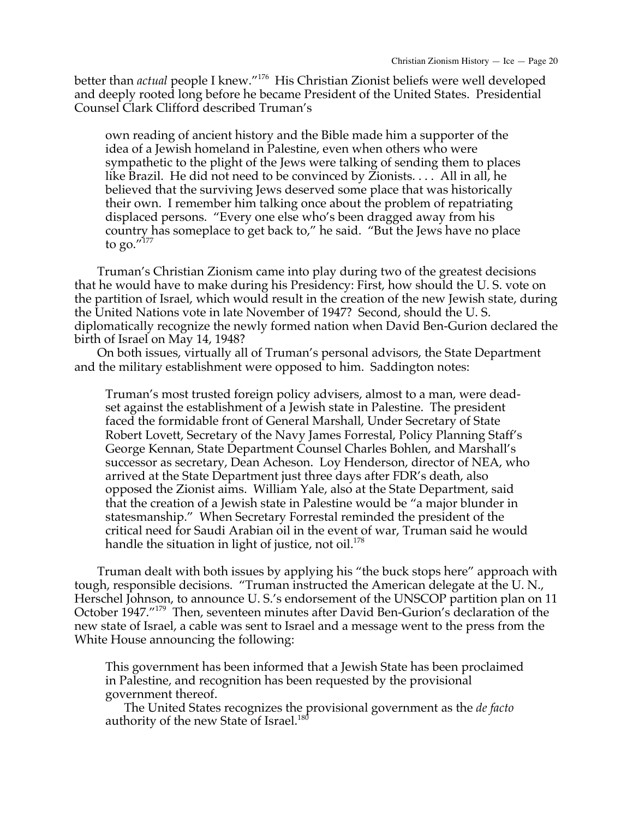better than *actual* people I knew."176 His Christian Zionist beliefs were well developed and deeply rooted long before he became President of the United States. Presidential Counsel Clark Clifford described Truman's

own reading of ancient history and the Bible made him a supporter of the idea of a Jewish homeland in Palestine, even when others who were sympathetic to the plight of the Jews were talking of sending them to places like Brazil. He did not need to be convinced by Zionists. . . . All in all, he believed that the surviving Jews deserved some place that was historically their own. I remember him talking once about the problem of repatriating displaced persons. "Every one else who's been dragged away from his country has someplace to get back to," he said. "But the Jews have no place to go. $^{\prime\prime}$ <sup>177</sup>

Truman's Christian Zionism came into play during two of the greatest decisions that he would have to make during his Presidency: First, how should the U. S. vote on the partition of Israel, which would result in the creation of the new Jewish state, during the United Nations vote in late November of 1947? Second, should the U. S. diplomatically recognize the newly formed nation when David Ben-Gurion declared the birth of Israel on May 14, 1948?

On both issues, virtually all of Truman's personal advisors, the State Department and the military establishment were opposed to him. Saddington notes:

Truman's most trusted foreign policy advisers, almost to a man, were deadset against the establishment of a Jewish state in Palestine. The president faced the formidable front of General Marshall, Under Secretary of State Robert Lovett, Secretary of the Navy James Forrestal, Policy Planning Staff's George Kennan, State Department Counsel Charles Bohlen, and Marshall's successor as secretary, Dean Acheson. Loy Henderson, director of NEA, who arrived at the State Department just three days after FDR's death, also opposed the Zionist aims. William Yale, also at the State Department, said that the creation of a Jewish state in Palestine would be "a major blunder in statesmanship." When Secretary Forrestal reminded the president of the critical need for Saudi Arabian oil in the event of war, Truman said he would handle the situation in light of justice, not oil.<sup>178</sup>

Truman dealt with both issues by applying his "the buck stops here" approach with tough, responsible decisions. "Truman instructed the American delegate at the U. N., Herschel Johnson, to announce U. S.'s endorsement of the UNSCOP partition plan on 11 October 1947."179 Then, seventeen minutes after David Ben-Gurion's declaration of the new state of Israel, a cable was sent to Israel and a message went to the press from the White House announcing the following:

This government has been informed that a Jewish State has been proclaimed in Palestine, and recognition has been requested by the provisional government thereof.

The United States recognizes the provisional government as the *de facto* authority of the new State of Israel.<sup>180</sup>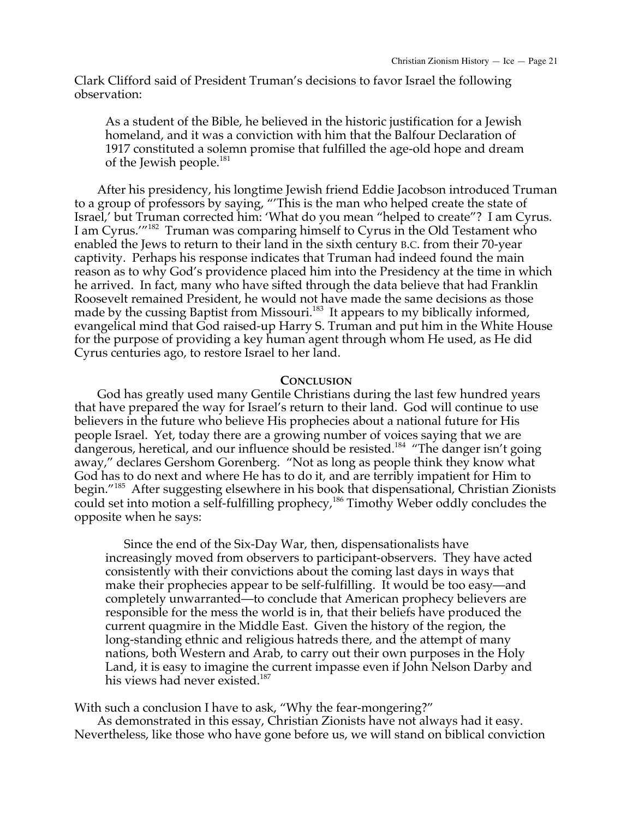Clark Clifford said of President Truman's decisions to favor Israel the following observation:

As a student of the Bible, he believed in the historic justification for a Jewish homeland, and it was a conviction with him that the Balfour Declaration of 1917 constituted a solemn promise that fulfilled the age-old hope and dream of the Jewish people.<sup>181</sup>

After his presidency, his longtime Jewish friend Eddie Jacobson introduced Truman to a group of professors by saying, "'This is the man who helped create the state of Israel,' but Truman corrected him: 'What do you mean "helped to create"? I am Cyrus. I am Cyrus.'"<sup>182</sup> Truman was comparing himself to Cyrus in the Old Testament who enabled the Jews to return to their land in the sixth century B.C. from their 70-year captivity. Perhaps his response indicates that Truman had indeed found the main reason as to why God's providence placed him into the Presidency at the time in which he arrived. In fact, many who have sifted through the data believe that had Franklin Roosevelt remained President, he would not have made the same decisions as those made by the cussing Baptist from Missouri.<sup>183</sup> It appears to my biblically informed, evangelical mind that God raised-up Harry S. Truman and put him in the White House for the purpose of providing a key human agent through whom He used, as He did Cyrus centuries ago, to restore Israel to her land.

### **CONCLUSION**

God has greatly used many Gentile Christians during the last few hundred years that have prepared the way for Israel's return to their land. God will continue to use believers in the future who believe His prophecies about a national future for His people Israel. Yet, today there are a growing number of voices saying that we are dangerous, heretical, and our influence should be resisted.<sup>184</sup> "The danger isn't going away," declares Gershom Gorenberg. "Not as long as people think they know what God has to do next and where He has to do it, and are terribly impatient for Him to begin."185 After suggesting elsewhere in his book that dispensational, Christian Zionists could set into motion a self-fulfilling prophecy,<sup>186</sup> Timothy Weber oddly concludes the opposite when he says:

Since the end of the Six-Day War, then, dispensationalists have increasingly moved from observers to participant-observers. They have acted consistently with their convictions about the coming last days in ways that make their prophecies appear to be self-fulfilling. It would be too easy—and completely unwarranted—to conclude that American prophecy believers are responsible for the mess the world is in, that their beliefs have produced the current quagmire in the Middle East. Given the history of the region, the long-standing ethnic and religious hatreds there, and the attempt of many nations, both Western and Arab, to carry out their own purposes in the Holy Land, it is easy to imagine the current impasse even if John Nelson Darby and his views had never existed.<sup>187</sup>

With such a conclusion I have to ask, "Why the fear-mongering?"

As demonstrated in this essay, Christian Zionists have not always had it easy. Nevertheless, like those who have gone before us, we will stand on biblical conviction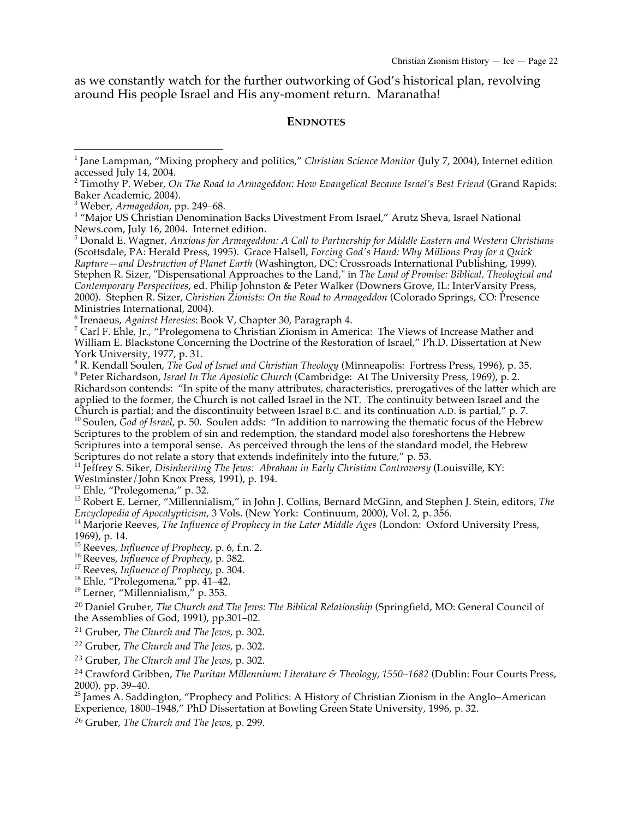as we constantly watch for the further outworking of God's historical plan, revolving around His people Israel and His any-moment return. Maranatha!

### **ENDNOTES**

<sup>4</sup> "Major US Christian Denomination Backs Divestment From Israel," Arutz Sheva, Israel National News.com, July 16, 2004. Internet edition.

<sup>5</sup> Donald E. Wagner, *Anxious for Armageddon: A Call to Partnership for Middle Eastern and Western Christians* (Scottsdale, PA: Herald Press, 1995). Grace Halsell, *Forcing God's Hand: Why Millions Pray for a Quick Rapture—and Destruction of Planet Earth* (Washington, DC: Crossroads International Publishing, 1999). Stephen R. Sizer, "Dispensational Approaches to the Land," in *The Land of Promise: Biblical, Theological and Contemporary Perspectives*, ed. Philip Johnston & Peter Walker (Downers Grove, IL: InterVarsity Press, 2000). Stephen R. Sizer, *Christian Zionists: On the Road to Armageddon* (Colorado Springs, CO: Presence

Ministries International, 2004).<br><sup>6</sup> Irenaeus, Against Heresies: Book V, Chapter 30, Paragraph 4.

<sup>7</sup> Carl F. Ehle, Jr., "Prolegomena to Christian Zionism in America: The Views of Increase Mather and William E. Blackstone Concerning the Doctrine of the Restoration of Israel," Ph.D. Dissertation at New York University, 1977, p. 31.<br><sup>8</sup> R. Kendall Soulen, *The God of Israel and Christian Theology* (Minneapolis: Fortress Press, 1996), p. 35.

<sup>9</sup> Peter Richardson, *Israel In The Apostolic Church* (Cambridge: At The University Press, 1969), p. 2. Richardson contends: "In spite of the many attributes, characteristics, prerogatives of the latter which are applied to the former, the Church is not called Israel in the NT. The continuity between Israel and the Church is partial, and the discontinuity between Israel B.C. and its continuation A.D. is partial," p. 7. <sup>10</sup> Soulen, God of Israel, p. 50. Soulen adds: "In addition to narrowing the thematic focus of the Hebrew Scriptures to the problem of sin and redemption, the standard model also foreshortens the Hebrew Scriptures into a temporal sense. As perceived through the lens of the standard model, the Hebrew Scriptures do not relate a story that extends indefinitely into the future," p. 53.

<sup>11</sup> Jeffrey S. Siker, Disinheriting The Jews: Abraham in Early Christian Controversy (Louisville, KY: Westminster/John Knox Press, 1991), p. 194.<br><sup>12</sup> Ehle, "Prolegomena," p. 32.

<sup>13</sup> Robert E. Lerner, "Millennialism," in John J. Collins, Bernard McGinn, and Stephen J. Stein, editors, *The Encyclopedia of Apocalypticism*, 3 Vols. (New York: Continuum, 2000), Vol. 2, p. 356.

<sup>14</sup> Marjorie Reeves, *The Influence of Prophecy in the Later Middle Ages* (London: Oxford University Press, *1969*), p. 14.

<sup>15</sup> Reeves, *Influence of Prophecy*, p. 6, f.n. 2.<br><sup>16</sup> Reeves, *Influence of Prophecy*, p. 382.<br><sup>17</sup> Reeves, *Influence of Prophecy*, p. 304.<br><sup>18</sup> Ehle, "Prolegomena," pp. 41–42.<br><sup>19</sup> Lerner, "Millennialism," p. 353.

- 
- 

<sup>20</sup> Daniel Gruber, *The Church and The Jews: The Biblical Relationship* (Springfield, MO: General Council of the Assemblies of God, 1991), pp.301–02.

<sup>21</sup> Gruber, *The Church and The Jews*, p. 302.

<sup>22</sup> Gruber, *The Church and The Jews*, p. 302.

<sup>23</sup> Gruber, *The Church and The Jews*, p. 302.

<sup>24</sup> Crawford Gribben, *The Puritan Millennium: Literature & Theology*, 1550–1682 (Dublin: Four Courts Press, 2000), pp. 39–40.

 $25$  James A. Saddington, "Prophecy and Politics: A History of Christian Zionism in the Anglo–American Experience, 1800–1948," PhD Dissertation at Bowling Green State University, 1996, p. 32.

<sup>26</sup> Gruber, *The Church and The Jews*, p. 299.

 <sup>1</sup> Jane Lampman, "Mixing prophecy and politics," *Christian Science Monitor* (July 7, 2004), Internet edition accessed July 14, 2004.

<sup>2</sup> Timothy P. Weber, *On The Road to Armageddon: How Evangelical Became Israel's Best Friend* (Grand Rapids: Baker Academic, 2004).<br><sup>3</sup> Weber, Armageddon, pp. 249–68.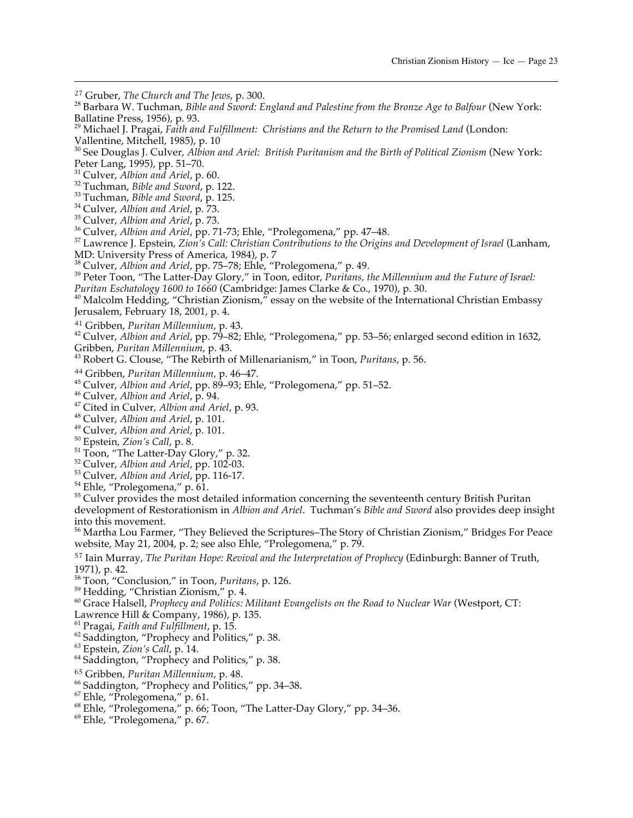- 
- <sup>27</sup> Gruber, *The Church and The Jews, p.* 300.<br><sup>28</sup> Barbara W. Tuchman, *Bible and Sword: England and Palestine from the Bronze Age to Balfour (New York:* Ballatine Press, 1956), p. 93.
- <sup>29</sup> Michael J. Pragai, *Faith and Fulfillment: Christians and the Return to the Promised Land* (London: Vallentine, Mitchell, 1985), p. 10
- <sup>30</sup> See Douglas J. Culver, *Albion and Ariel: British Puritanism and the Birth of Political Zionism* (New York: Peter Lang, 1995), pp. 51–70.
- 

 $\overline{a}$ 

- 
- 
- 
- 
- 
- <sup>31</sup> Culver, *Albion and Ariel*, p. 60.<br><sup>32</sup> Tuchman, *Bible and Sword*, p. 122.<br><sup>33</sup> Tuchman, *Bible and Sword*, p. 125.<br><sup>35</sup> Culver, *Albion and Ariel*, p. 73.<br><sup>35</sup> Culver, *Albion and Ariel*, p. 73.<br><sup>36</sup> Culver, *Albion* MD: University Press of America, 1984), p. 7
- 

<sup>38</sup> Culver, *Albion and Ariel*, pp. 75–78; Ehle, "Prolegomena," p. 49.<br><sup>39</sup> Peter Toon, "The Latter-Day Glory," in Toon, editor, *Puritans, the Millennium and the Future of Israel:*<br>*Puritan Eschatology 1600 to 1660* (Cam

*Puritan Eschatology 1600 to 1660* (Cambridge: James Clarke & Co., 1970), p. 30. <sup>40</sup> Malcolm Hedding, "Christian Zionism," essay on the website of the International Christian Embassy Jerusalem, February 18, 2001, p. 4.

<sup>41</sup> Gribben, *Puritan Millennium*, p. 43.<br><sup>42</sup> Culver, *Albion and Ariel*, pp. 79–82; Ehle, "Prolegomena," pp. 53–56; enlarged second edition in 1632, Gribben, *Puritan Millennium*, p. 43. <sup>43</sup> Robert G. Clouse, "The Rebirth of Millenarianism," in Toon, *Puritans*, p. 56.

- 
- 
- 
- 
- 
- 
- 
- 

<sup>44</sup> Gribben, *Puritan Millennium, p. 46–47.*<br><sup>45</sup> Culver, *Albion and Ariel*, pp. 89–93; Ehle, "Prolegomena," pp. 51–52.<br><sup>46</sup> Culver, *Albion and Ariel*, p. 94.<br><sup>47</sup> Cited in Culver, *Albion and Ariel*, p. 93.<br><sup>47</sup> Cited development of Restorationism in *Albion and Ariel*. Tuchman's *Bible and Sword* also provides deep insight into this movement.

<sup>56</sup> Martha Lou Farmer, "They Believed the Scriptures–The Story of Christian Zionism," Bridges For Peace website, May 21, 2004, p. 2; see also Ehle, "Prolegomena," p. 79.

<sup>57</sup> Iain Murray, *The Puritan Hope: Revival and the Interpretation of Prophecy* (Edinburgh: Banner of Truth, 1971), p. 42.<br><sup>58</sup> Toon, "Conclusion," in Toon, *Puritans*, p. 126.

- 
- 
- <sup>59</sup> Hedding, "Christian Zionism," p. 4.<br><sup>60</sup> Grace Halsell, *Prophecy and Politics: Militant Evangelists on the Road to Nuclear War (Westport, CT:*
- Lawrence Hill & Company, 1986), p. 135.<br><sup>61</sup> Pragai, Faith and Fulfillment, p. 15.
- 
- <sup>62</sup> Saddington, "Prophecy and Politics," p. 38.<br><sup>62</sup> Saddington, "Prophecy and Politics," p. 38.<br><sup>64</sup> Saddington, "Prophecy and Politics," p. 38.
- 
- 
- 
- 
- 
- <sup>65</sup> Gribben, *Puritan Millennium*, p. 48.<br><sup>66</sup> Saddington, "Prophecy and Politics," pp. 34–38.<br><sup>67</sup> Ehle, "Prolegomena," p. 61.<br><sup>68</sup> Ehle, "Prolegomena," p. 66; Toon, "The Latter-Day Glory," pp. 34–36.<br><sup>69</sup> Ehle, "Proleg
-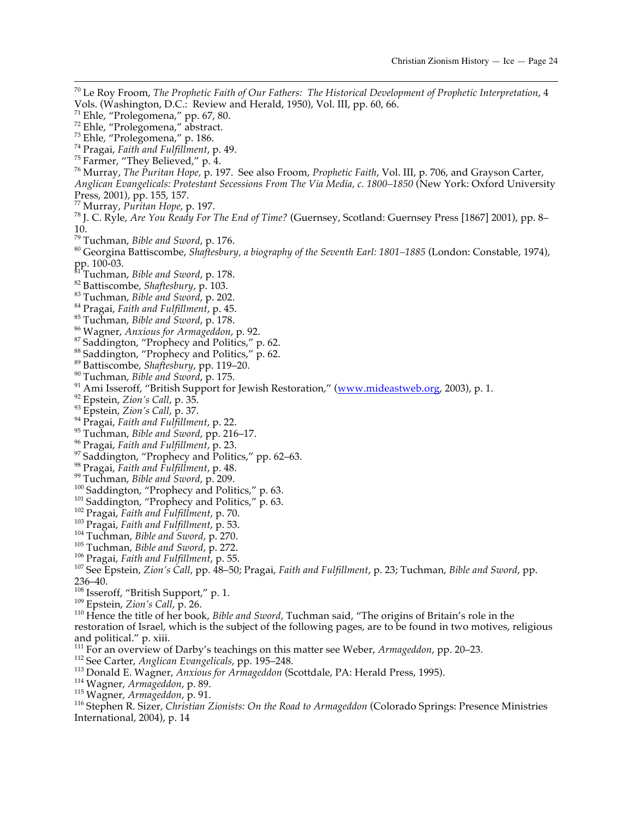- <sup>70</sup> Le Roy Froom, *The Prophetic Faith of Our Fathers: The Historical Development of Prophetic Interpretation, 4*<br>Vols. (Washington, D.C.: Review and Herald, 1950), Vol. III, pp. 60, 66.
- 
- 
- 
- 
- 
- The "Prolegomena," pp. 67, 80.<br>
The, "Prolegomena," pp. 67, 80.<br>
The, "Prolegomena," abstract.<br>
The, "Prolegomena," p. 186.<br>
The Prolegomena," p. 49.<br>
The Parmer, "They Believed," p. 4.<br>
The Parmer, "They Believed," p. 4. *Anglican Evangelicals: Protestant Secessions From The Via Media, c. 1800–1850* (New York: Oxford University
- Press, 2001), pp. 155, 157.<br><sup>77</sup> Murray, *Puritan Hope*, p. 197.
- <sup>78</sup> J. C. Ryle, *Are You Ready For The End of Time?* (Guernsey, Scotland: Guernsey Press [1867] 2001), pp. 8–
- 10.<br><sup>79</sup> Tuchman, *Bible and Sword*, p. 176.
- <sup>80</sup> Georgina Battiscombe, *Shaftesbury, a biography of the Seventh Earl: 1801–1885* (London: Constable, 1974), pp. 100-03.<br>Big Tuchman, *Bible and Canadia* (170
- 
- 
- 
- 
- 
- 
- 
- 
- 
- 
- 
- 
- 
- 
- 
- 
- 
- 
- 
- 
- 
- 
- 
- 
- 
- 
- pp. 100-03.<br>
<sup>82</sup> Tuchman, *Bible and Sword*, p. 178.<br>
<sup>82</sup> Tuchman, *Bible and Sword*, p. 202.<br>
<sup>83</sup> Tuchman, *Bible and Sword*, p. 202.<br>
<sup>83</sup> Tuchman, *Bible and Sword*, p. 178.<br>
<sup>83</sup> Tuchman, *Bible and Sword, p. 178.*<br> 236–40.<br><sup>108</sup> Isseroff, "British Support," p. 1.<br><sup>109</sup> Epstein, *Zion's Call*, p. 26.<br><sup>110</sup> Hence the title of her book, *Bible and Sword*, Tuchman said, "The origins of Britain's role in the
- 
- 
- restoration of Israel, which is the subject of the following pages, are to be found in two motives, religious and political." p. xiii.<br><sup>111</sup> For an overview of Darby's teachings on this matter see Weber, Armageddon, pp. 20–23.
- 
- 
- 
- 
- 

<sup>112</sup> See Carter, *Anglican Evangelicals*, pp. 195–248.<br><sup>113</sup> Donald E. Wagner, *Anxious for Armageddon* (Scottdale, PA: Herald Press, 1995).<br><sup>114</sup> Wagner, *Armageddon*, p. 89.<br><sup>115</sup> Wagner, *Armageddon*, p. 91.<br><sup>115</sup> Step International, 2004), p. 14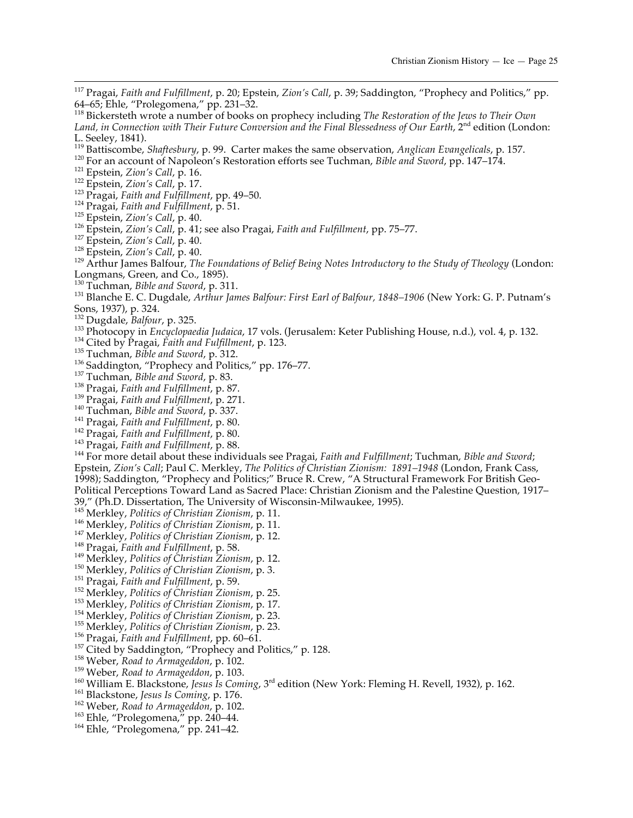- 117 Pragai, *Faith and Fulfillment*, p. 20; Epstein, *Zion's Call*, p. 39; Saddington, "Prophecy and Politics," pp.
- <sup>118</sup> Bickersteth wrote a number of books on prophecy including *The Restoration of the Jews to Their Own* Land, in Connection with Their Future Conversion and the Final Blessedness of Our Earth, 2<sup>nd</sup> edition (London:
- L. Seeley, 1841).<br><sup>119</sup> Battiscombe, *Shaftesbury*, p. 99. Carter makes the same observation, *Anglican Evangelicals*, p. 157.
- 
- 
- 
- 
- 
- 
- 
- 
- 
- <sup>119</sup> Battiscombe, *Shaftesbury*, p. 99. Carter makes the same observation, *Anglican Evangelicals*, p. 157.<br><sup>120</sup> For an account of Napoleon's Restoration efforts see Tuchman, *Bible and Sword*, pp. 147–174.<br><sup>121</sup> Epstein Longmans, Green, and Co., 1895).<br><sup>130</sup> Tuchman, *Bible and Sword*, p. 311.
- 

<sup>131</sup> Blanche E. C. Dugdale, *Arthur James Balfour: First Earl of Balfour*, 1848–1906 (New York: G. P. Putnam's Sons, 1937), p. 324.<br><sup>132</sup> Dugdale, *Balfour*, p. 325.

- 
- <sup>132</sup> Dugdale, *Balfour*, p. 325.<br><sup>133</sup> Photocopy in *Encyclopaedia Judaica*, 17 vols. (Jerusalem: Keter Publishing House, n.d.), vol. 4, p. 132.<br><sup>134</sup> Cited by Pragai, *Faith and Fulfillment*, p. 123.<br><sup>135</sup> Tuchman, *Bibl*
- 
- 
- 
- 
- 
- 
- 
- 
- 
- 

Epstein, *Zion's Call*; Paul C. Merkley, *The Politics of Christian Zionism: 1891–1948* (London, Frank Cass, 1998); Saddington, "Prophecy and Politics;" Bruce R. Crew, "A Structural Framework For British Geo-Political Perceptions Toward Land as Sacred Place: Christian Zionism and the Palestine Question, 1917– 39/ (Ph.D. Dissertation, The University of Wisconsin-Milwaukee, 1995).<br><sup>145</sup> Merkley, *Politics of Christian Zionism*, p. 11.<br><sup>146</sup> Merkley, *Politics of Christian Zionism*, p. 11.<br><sup>146</sup> Merkley, *Politics of Christian Zio* 

- 
- 
- 
- 
- 
- 
- 
- 
- 
- 
- 
- 
- 
- 
- 
- 
- 
- 
- 
-